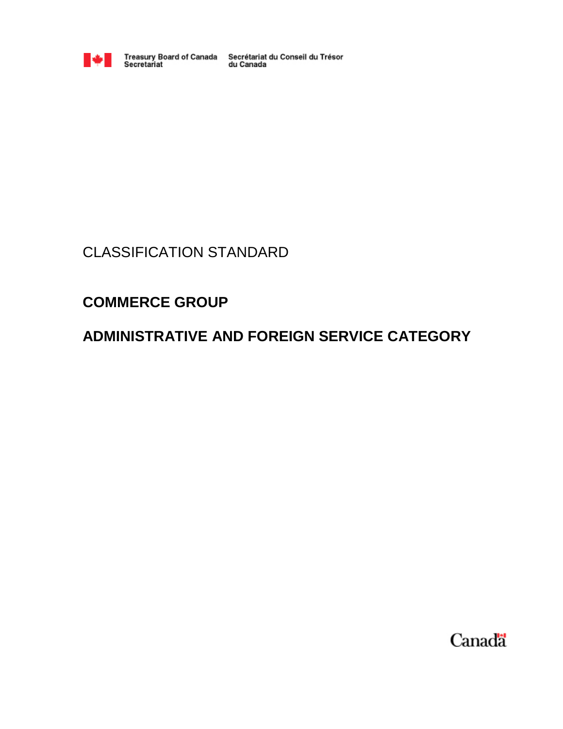

Treasury Board of Canada Secrétariat du Conseil du Trésor<br>Secretariat du Canada

# CLASSIFICATION STANDARD

# **COMMERCE GROUP**

# **ADMINISTRATIVE AND FOREIGN SERVICE CATEGORY**

Canada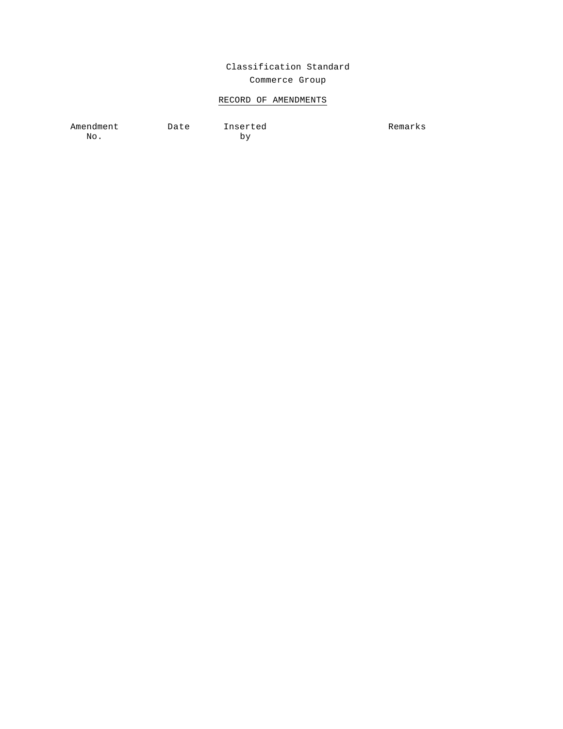# Classification Standard Commerce Group

# RECORD OF AMENDMENTS

Amendment Date Inserted No.

by

Remarks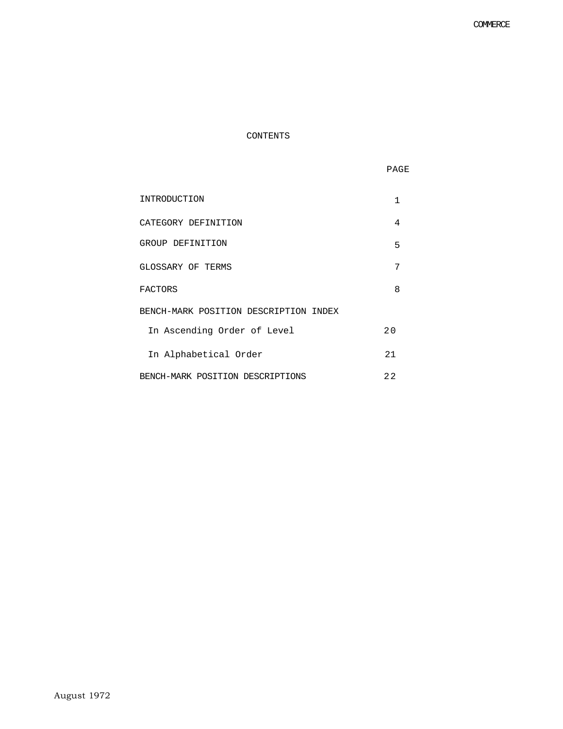# CONTENTS

| M.<br>v |
|---------|
|---------|

| INTRODUCTION                          | 1    |
|---------------------------------------|------|
| CATEGORY DEFINITION                   | 4    |
| GROUP DEFINITION                      | 5    |
| GLOSSARY OF TERMS                     | 7    |
| FACTORS                               | 8    |
| BENCH-MARK POSITION DESCRIPTION INDEX |      |
| In Ascending Order of Level           | 20   |
| In Alphabetical Order                 | 2.1  |
| BENCH-MARK POSITION DESCRIPTIONS      | 2.2. |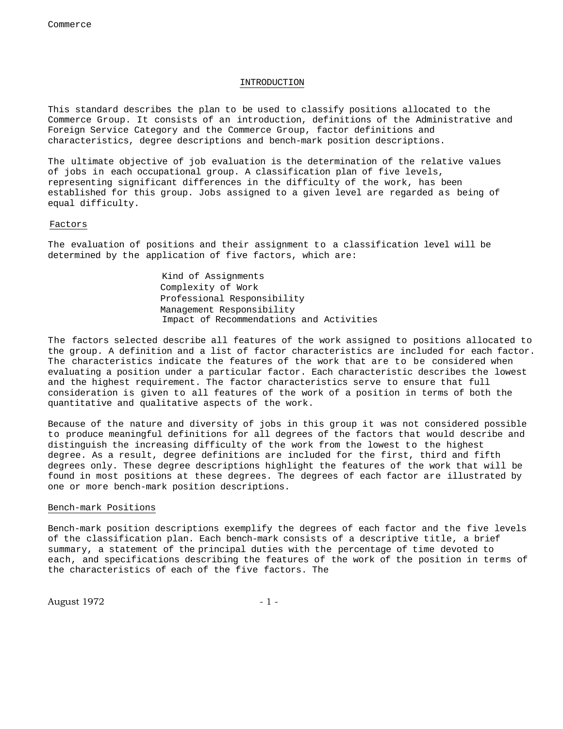# INTRODUCTION

This standard describes the plan to be used to classify positions allocated to the Commerce Group. It consists of an introduction, definitions of the Administrative and Foreign Service Category and the Commerce Group, factor definitions and characteristics, degree descriptions and bench-mark position descriptions.

The ultimate objective of job evaluation is the determination of the relative values of jobs in each occupational group. A classification plan of five levels, representing significant differences in the difficulty of the work, has been established for this group. Jobs assigned to a given level are regarded as being of equal difficulty.

## Factors

The evaluation of positions and their assignment to a classification level will be determined by the application of five factors, which are:

> Kind of Assignments Complexity of Work Professional Responsibility Management Responsibility Impact of Recommendations and Activities

The factors selected describe all features of the work assigned to positions allocated to the group. A definition and a list of factor characteristics are included for each factor. The characteristics indicate the features of the work that are to be considered when evaluating a position under a particular factor. Each characteristic describes the lowest and the highest requirement. The factor characteristics serve to ensure that full consideration is given to all features of the work of a position in terms of both the quantitative and qualitative aspects of the work.

Because of the nature and diversity of jobs in this group it was not considered possible to produce meaningful definitions for all degrees of the factors that would describe and distinguish the increasing difficulty of the work from the lowest to the highest degree. As a result, degree definitions are included for the first, third and fifth degrees only. These degree descriptions highlight the features of the work that will be found in most positions at these degrees. The degrees of each factor are illustrated by one or more bench-mark position descriptions.

## Bench-mark Positions

Bench-mark position descriptions exemplify the degrees of each factor and the five levels of the classification plan. Each bench-mark consists of a descriptive title, a brief summary, a statement of the principal duties with the percentage of time devoted to each, and specifications describing the features of the work of the position in terms of the characteristics of each of the five factors. The

August 1972 - 1 -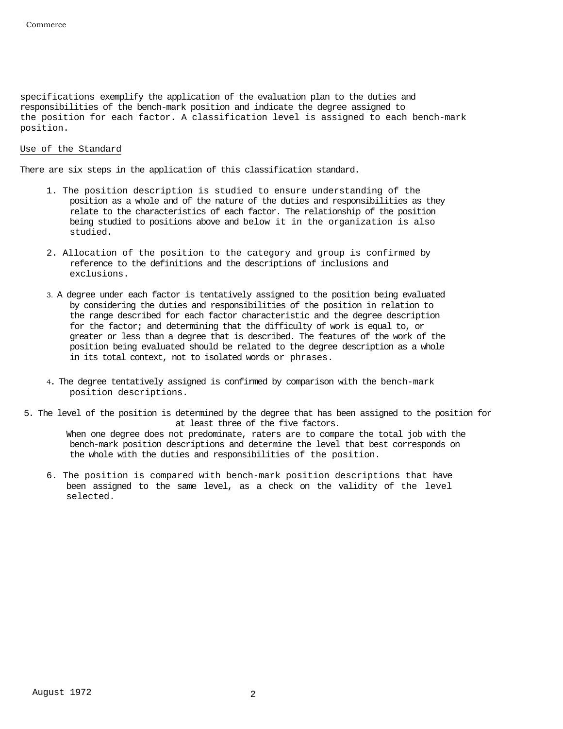specifications exemplify the application of the evaluation plan to the duties and responsibilities of the bench-mark position and indicate the degree assigned to the position for each factor. A classification level is assigned to each bench-mark position.

# Use of the Standard

There are six steps in the application of this classification standard.

- 1. The position description is studied to ensure understanding of the position as a whole and of the nature of the duties and responsibilities as they relate to the characteristics of each factor. The relationship of the position being studied to positions above and below it in the organization is also studied.
- 2. Allocation of the position to the category and group is confirmed by reference to the definitions and the descriptions of inclusions and exclusions.
- 3. A degree under each factor is tentatively assigned to the position being evaluated by considering the duties and responsibilities of the position in relation to the range described for each factor characteristic and the degree description for the factor; and determining that the difficulty of work is equal to, or greater or less than a degree that is described. The features of the work of the position being evaluated should be related to the degree description as a whole in its total context, not to isolated words or phrases.
- 4. The degree tentatively assigned is confirmed by comparison with the bench-mark position descriptions.
- 5. The level of the position is determined by the degree that has been assigned to the position for at least three of the five factors.

When one degree does not predominate, raters are to compare the total job with the bench-mark position descriptions and determine the level that best corresponds on the whole with the duties and responsibilities of the position.

6. The position is compared with bench-mark position descriptions that have been assigned to the same level, as a check on the validity of the level selected.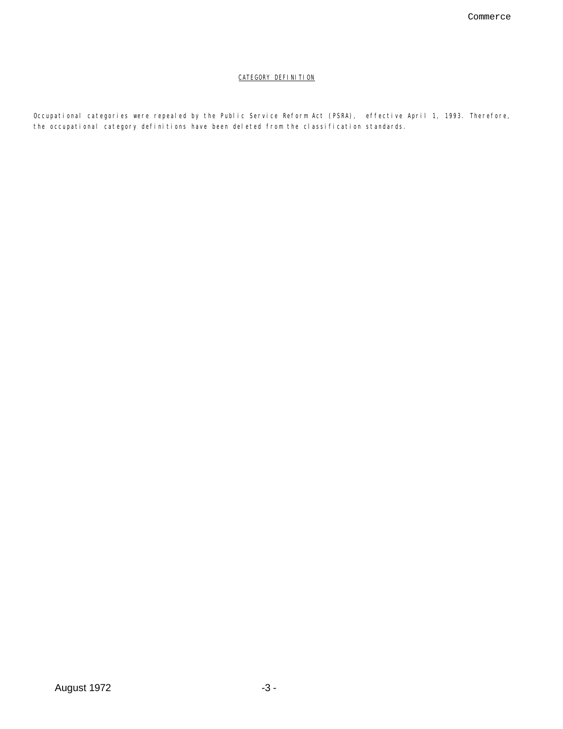# CATEGORY DEFINITION

Occupational categories were repealed by the Public Service Reform Act (PSRA), effective April 1, 1993. Therefore, the occupational category definitions have been deleted from the classification standards.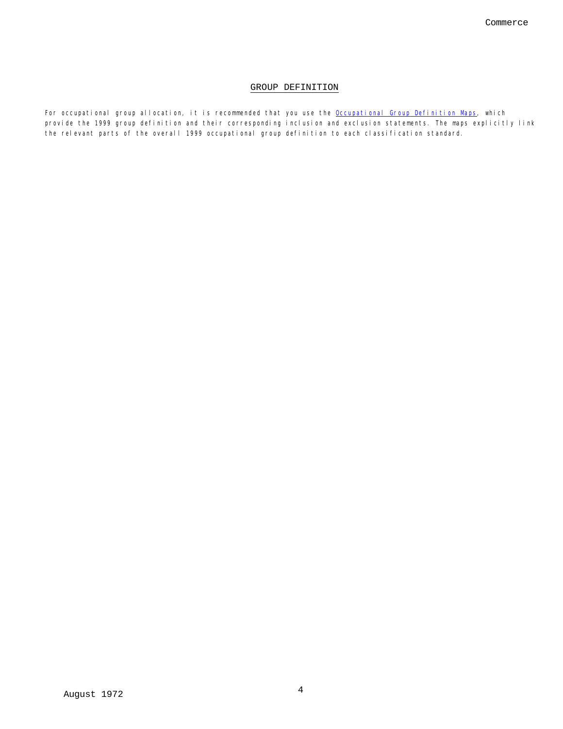# GROUP DEFINITION

For occupational group allocation, it is recommended that you use the Occupational Group Definition Maps, which provide the 1999 group definition and their corresponding inclusion and exclusion statements. The maps explicitly link the relevant parts of the overall 1999 occupational group definition to each classification standard.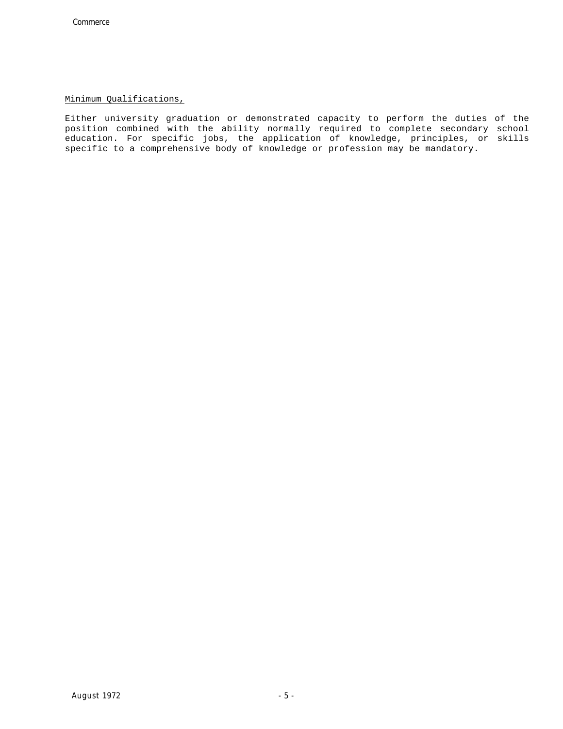# Minimum Qualifications,

Either university graduation or demonstrated capacity to perform the duties of the position combined with the ability normally required to complete secondary school education. For specific jobs, the application of knowledge, principles, or skills specific to a comprehensive body of knowledge or profession may be mandatory.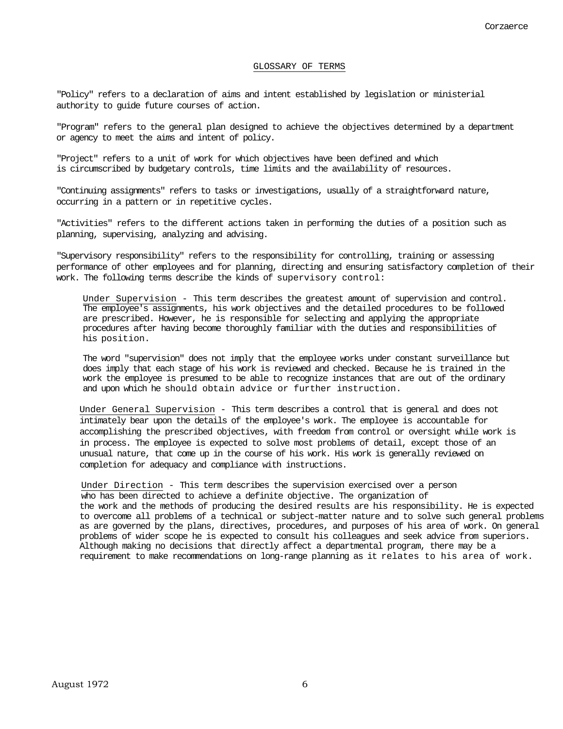#### GLOSSARY OF TERMS

"Policy" refers to a declaration of aims and intent established by legislation or ministerial authority to guide future courses of action.

"Program" refers to the general plan designed to achieve the objectives determined by a department or agency to meet the aims and intent of policy.

"Project" refers to a unit of work for which objectives have been defined and which is circumscribed by budgetary controls, time limits and the availability of resources.

"Continuing assignments" refers to tasks or investigations, usually of a straightforward nature, occurring in a pattern or in repetitive cycles.

"Activities" refers to the different actions taken in performing the duties of a position such as planning, supervising, analyzing and advising.

"Supervisory responsibility" refers to the responsibility for controlling, training or assessing performance of other employees and for planning, directing and ensuring satisfactory completion of their work. The following terms describe the kinds of supervisory control:

Under Supervision - This term describes the greatest amount of supervision and control. The employee's assignments, his work objectives and the detailed procedures to be followed are prescribed. However, he is responsible for selecting and applying the appropriate procedures after having become thoroughly familiar with the duties and responsibilities of his position.

The word "supervision" does not imply that the employee works under constant surveillance but does imply that each stage of his work is reviewed and checked. Because he is trained in the work the employee is presumed to be able to recognize instances that are out of the ordinary and upon which he should obtain advice or further instruction.

Under General Supervision - This term describes a control that is general and does not intimately bear upon the details of the employee's work. The employee is accountable for accomplishing the prescribed objectives, with freedom from control or oversight while work is in process. The employee is expected to solve most problems of detail, except those of an unusual nature, that come up in the course of his work. His work is generally reviewed on completion for adequacy and compliance with instructions.

Under Direction - This term describes the supervision exercised over a person who has been directed to achieve a definite objective. The organization of the work and the methods of producing the desired results are his responsibility. He is expected to overcome all problems of a technical or subject-matter nature and to solve such general problems as are governed by the plans, directives, procedures, and purposes of his area of work. On general problems of wider scope he is expected to consult his colleagues and seek advice from superiors. Although making no decisions that directly affect a departmental program, there may be a requirement to make recommendations on long-range planning as it relates to his area of work.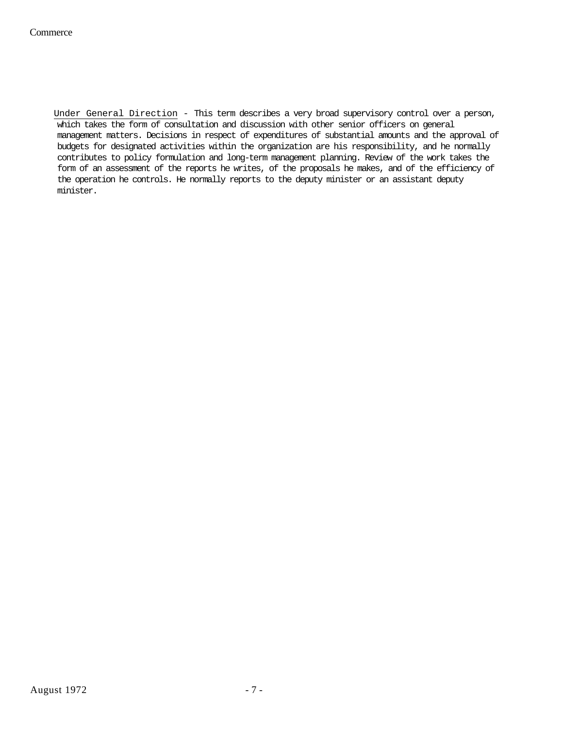Under General Direction - This term describes a very broad supervisory control over a person, which takes the form of consultation and discussion with other senior officers on general management matters. Decisions in respect of expenditures of substantial amounts and the approval of budgets for designated activities within the organization are his responsibility, and he normally contributes to policy formulation and long-term management planning. Review of the work takes the form of an assessment of the reports he writes, of the proposals he makes, and of the efficiency of the operation he controls. He normally reports to the deputy minister or an assistant deputy minister.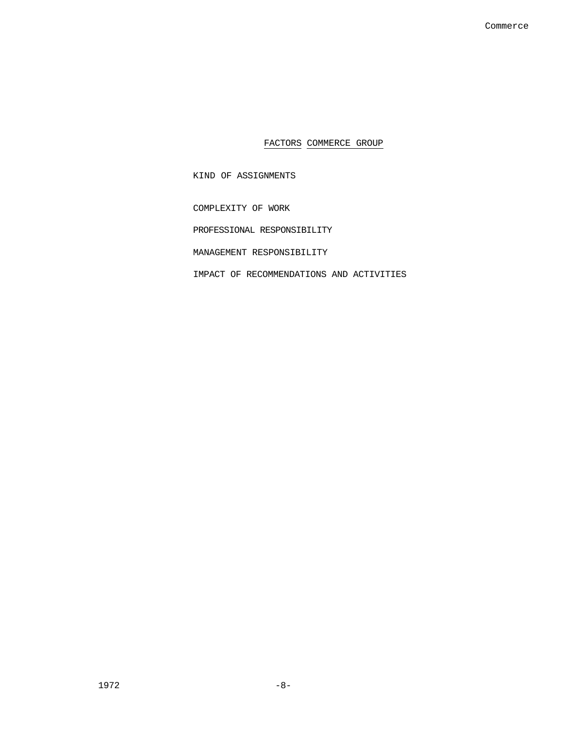FACTORS COMMERCE GROUP

KIND OF ASSIGNMENTS

COMPLEXITY OF WORK

PROFESSIONAL RESPONSIBILITY

MANAGEMENT RESPONSIBILITY

IMPACT OF RECOMMENDATIONS AND ACTIVITIES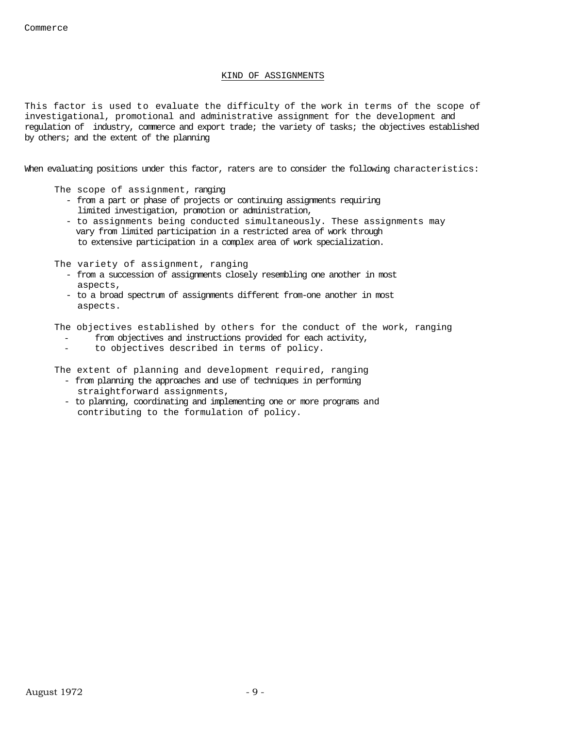# KIND OF ASSIGNMENTS

This factor is used to evaluate the difficulty of the work in terms of the scope of investigational, promotional and administrative assignment for the development and regulation of industry, commerce and export trade; the variety of tasks; the objectives established by others; and the extent of the planning

When evaluating positions under this factor, raters are to consider the following characteristics:

The scope of assignment, ranging

- from a part or phase of projects or continuing assignments requiring limited investigation, promotion or administration,
- to assignments being conducted simultaneously. These assignments may vary from limited participation in a restricted area of work through to extensive participation in a complex area of work specialization.

The variety of assignment, ranging

- from a succession of assignments closely resembling one another in most aspects,
- to a broad spectrum of assignments different from-one another in most aspects.

The objectives established by others for the conduct of the work, ranging

- from objectives and instructions provided for each activity,
- to objectives described in terms of policy.

The extent of planning and development required, ranging

- from planning the approaches and use of techniques in performing straightforward assignments,
- to planning, coordinating and implementing one or more programs and contributing to the formulation of policy.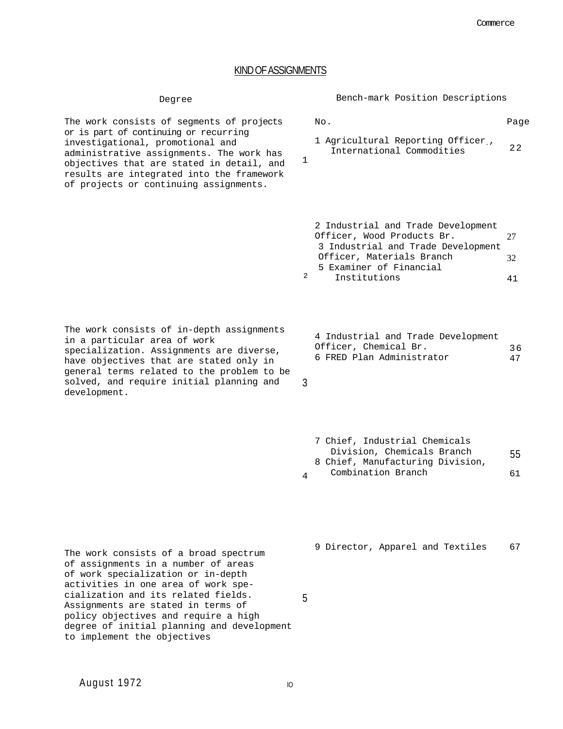Page

# KIND OF ASSIGNMENTS

1

3

No.

The work consists of segments of projects or is part of continuing or recurring investigational, promotional and administrative assignments. The work has objectives that are stated in detail, and results are integrated into the framework of projects or continuing assignments.

Degree Bench-mark Position Descriptions

| 1 Agricultural Reporting Officer, |    |
|-----------------------------------|----|
| International Commodities         | 22 |

|   | 2 Industrial and Trade Development |      |
|---|------------------------------------|------|
|   | Officer, Wood Products Br.         | 77 I |
|   | 3 Industrial and Trade Development |      |
|   | Officer, Materials Branch          | 32.  |
|   | 5 Examiner of Financial            |      |
| 2 | Institutions                       |      |

The work consists of in-depth assignments in a particular area of work specialization. Assignments are diverse, have objectives that are stated only in general terms related to the problem to be solved, and require initial planning and development.

|  |                       |                           | 4 Industrial and Trade Development |    |
|--|-----------------------|---------------------------|------------------------------------|----|
|  | Officer, Chemical Br. |                           |                                    | 36 |
|  |                       | 6 FRED Plan Administrator |                                    | 47 |

|                | 7 Chief, Industrial Chemicals    |    |
|----------------|----------------------------------|----|
|                | Division, Chemicals Branch       | 55 |
|                | 8 Chief, Manufacturing Division, |    |
| $\overline{A}$ | Combination Branch               | 61 |

The work consists of a broad spectrum of assignments in a number of areas of work specialization or in-depth activities in one area of work specialization and its related fields. Assignments are stated in terms of policy objectives and require a high degree of initial planning and development to implement the objectives

9 Director, Apparel and Textiles 67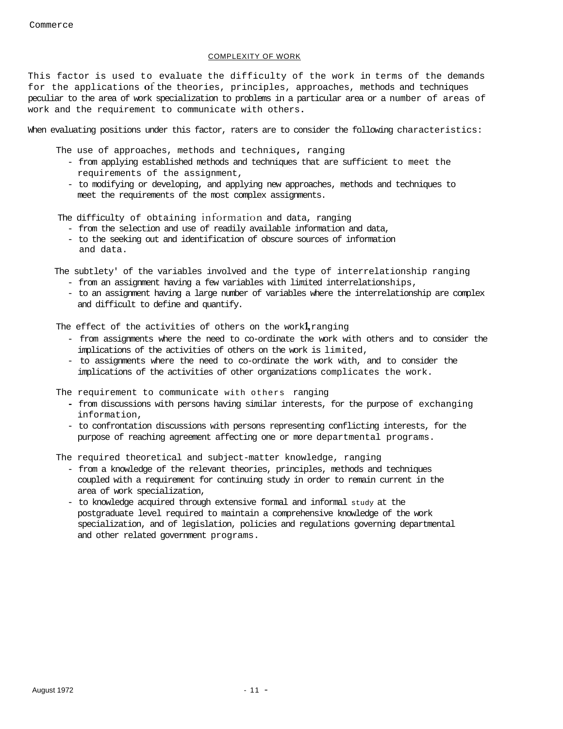# COMPLEXITY OF WORK

This factor is used to evaluate the difficulty of the work in terms of the demands for the applications **o**f the theories, principles, approaches, methods and techniques peculiar to the area of work specialization to problems in a particular area or a number of areas of work and the requirement to communicate with others**.** 

When evaluating positions under this factor, raters are to consider the following characteristics:

The use of approaches, methods and techniques**,** ranging

- from applying established methods and techniques that are sufficient to meet the requirements of the assignment,
- to modifying or developing, and applying new approaches, methods and techniques to meet the requirements of the most complex assignments.

The difficulty of obtaining information and data, ranging

- from the selection and use of readily available information and data,
- to the seeking out and identification of obscure sources of information and data.

The subtlety' of the variables involved and the type of interrelationship ranging

- from an assignment having a few variables with limited interrelationships,
- to an assignment having a large number of variables where the interrelationship are complex and difficult to define and quantify.

The effect of the activities of others on the work**1,** ranging

- from assignments where the need to co-ordinate the work with others and to consider the implications of the activities of others on the work is limited,
- to assignments where the need to co-ordinate the work with, and to consider the implications of the activities of other organizations complicates the work.

The requirement to communicate with others ranging

- from discussions with persons having similar interests, for the purpose of exchanging information,
- to confrontation discussions with persons representing conflicting interests, for the purpose of reaching agreement affecting one or more departmental programs.

The required theoretical and subject-matter knowledge, ranging

- from a knowledge of the relevant theories, principles, methods and techniques coupled with a requirement for continuing study in order to remain current in the area of work specialization,
- to knowledge acquired through extensive formal and informal study at the postgraduate level required to maintain a comprehensive knowledge of the work specialization, and of legislation, policies and regulations governing departmental and other related government programs.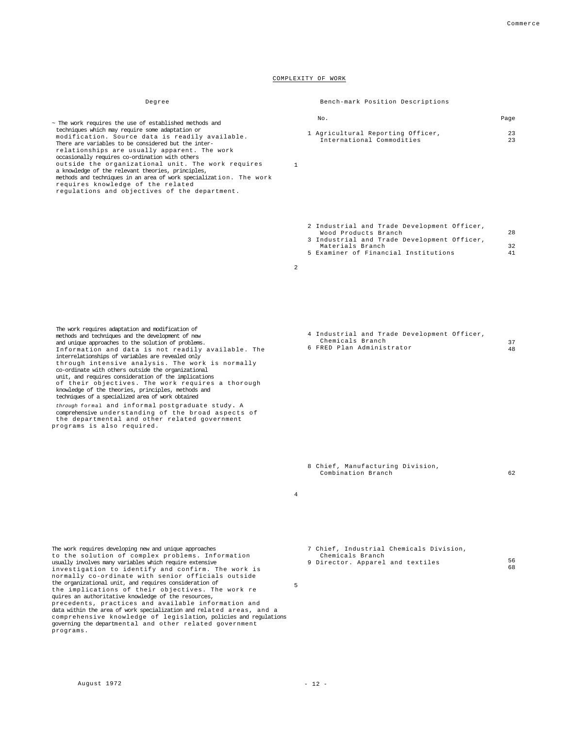#### COMPLEXITY OF WORK

occasionally requires co-ordination with others outside the organizational unit. The work requires

methods and techniques in an area of work specialization. The work

# Degree Bench-mark Position Descriptions

| No. |                                   | Page |
|-----|-----------------------------------|------|
|     | 1 Agricultural Reporting Officer, | 23   |
|     | International Commodities         | 23   |

1

2 Industrial and Trade Development Officer, Wood Products Branch 3 Industrial and Trade Development Officer, Materials Branch 5 Examiner of Financial Institutions 28 32 41

2

4 Industrial and Trade Development Officer, Chemicals Branch Chemicals Branch<br>6 FRED Plan Administrator 37 48

- 8 Chief, Manufacturing Division, Combination Branch 62
- 4

7 Chief, Industrial Chemicals Division, Chemicals Branch 9 Director. Apparel and textiles 56 68

5

modification. Source data is readily available. There are variables to be considered but the interrelationships are usually apparent. The work

regulations and objectives of the department.

~ The work requires the use of established methods and techniques which may require some adaptation or

a knowledge of the relevant theories, principles,

requires knowledge of the related

programs.

- The work requires adaptation and modification of
- methods and techniques and the development of new
- and unique approaches to the solution of problems.
- Information and data is not readily available. The interrelationships of variables are revealed only through intensive analysis. The work is normally
- co-ordinate with others outside the organizational
- unit, and requires consideration of the implications
- of their objectives. The work requires a thorough knowledge of the theories, principles, methods and techniques of a specialized area of work obtained
- *through* formal and informal postgraduate study**.** A comprehensive understanding of the broad aspects of the departmental and other related government
- programs is also required.

The work requires developing new and unique approaches

the organizational unit, and requires consideration of

quires an authoritative knowledge of the resources,

to the solution of complex problems. Information usually involves many variables which require extensive investigation to identify and confirm. The work is normally co-ordinate with senior officials outside

the implications of their objectives. The work re

precedents, practices and available information and data within the area of work specialization and related areas, and a comprehensive knowledge of legislation, policies and regulations governing the departmental and other related government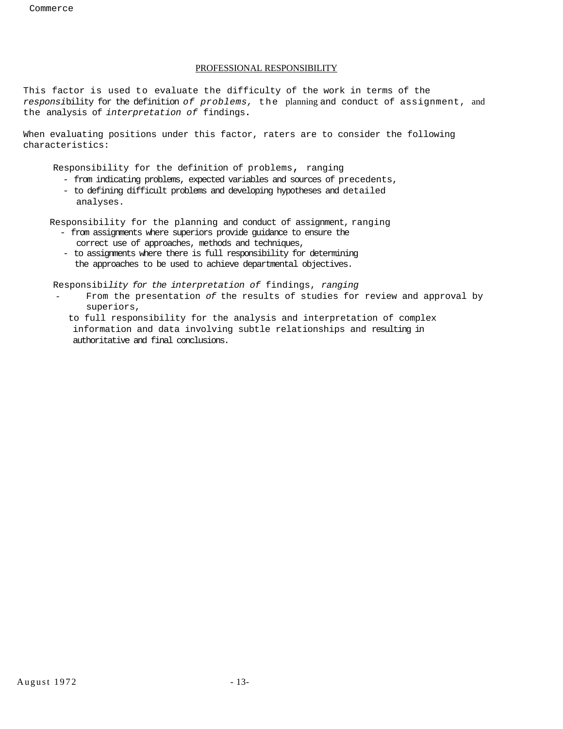# PROFESSIONAL RESPONSIBILITY

This factor is used to evaluate the difficulty of the work in terms of the *responsi*bility for the definition *of problems,* the planning and conduct of assignment, and the analysis of *interpretation of* findings**.** 

When evaluating positions under this factor, raters are to consider the following characteristics:

Responsibility for the definition of problems, ranging

- from indicating problems, expected variables and sources of precedents,
- to defining difficult problems and developing hypotheses and detailed analyses.

Responsibility for the planning and conduct of assignment, ranging

- from assignments where superiors provide guidance to ensure the correct use of approaches, methods and techniques,
- to assignments where there is full responsibility for determining the approaches to be used to achieve departmental objectives.

Responsibi*lity for the interpretation of* findings, *ranging* 

- From the presentation of the results of studies for review and approval by superiors,
- to full responsibility for the analysis and interpretation of complex information and data involving subtle relationships and resulting in authoritative and final conclusions.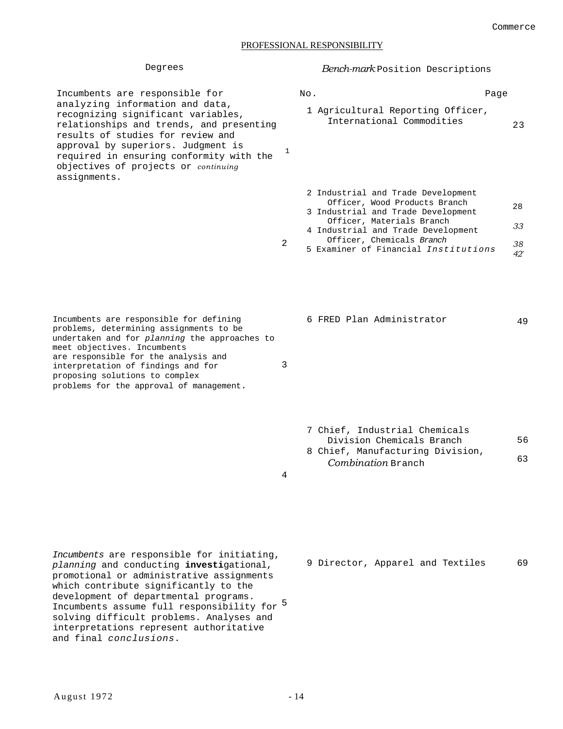# PROFESSIONAL RESPONSIBILITY

1

2

| Incumbents are responsible for           |
|------------------------------------------|
| analyzing information and data,          |
| recognizing significant variables,       |
| relationships and trends, and presenting |
| results of studies for review and        |
| approval by superiors. Judgment is       |
| required in ensuring conformity with the |
| objectives of projects or continuing     |
| assignments.                             |

Degrees *Bench-mark* Position Descriptions

| Nο. | Page                                                           |    |
|-----|----------------------------------------------------------------|----|
|     | 1 Agricultural Reporting Officer,<br>International Commodities | 23 |

|  | 2 Industrial and Trade Development   |     |
|--|--------------------------------------|-----|
|  | Officer, Wood Products Branch        | 28  |
|  | 3 Industrial and Trade Development   |     |
|  | Officer, Materials Branch            | 33. |
|  | 4 Industrial and Trade Development   |     |
|  | Officer, Chemicals Branch            | 38. |
|  | 5 Examiner of Financial Institutions |     |
|  |                                      |     |

Incumbents are responsible for defining problems, determining assignments to be undertaken and for *planning* the approaches to meet objectives. Incumbents are responsible for the analysis and interpretation of findings and for proposing solutions to complex problems for the approval of management.

7 Chief, Industrial Chemicals Division Chemicals Branch 8 Chief, Manufacturing Division, *Combination* Branch 56 63

4

3

*Incumbents* are responsible for initiating, *planning* and conducting **investi**gational, promotional or administrative assignments which contribute significantly to the development of departmental programs. Incumbents assume full responsibility for 5 solving difficult problems. Analyses and interpretations represent authoritative and final *conclusions.*

9 Director, Apparel and Textiles 69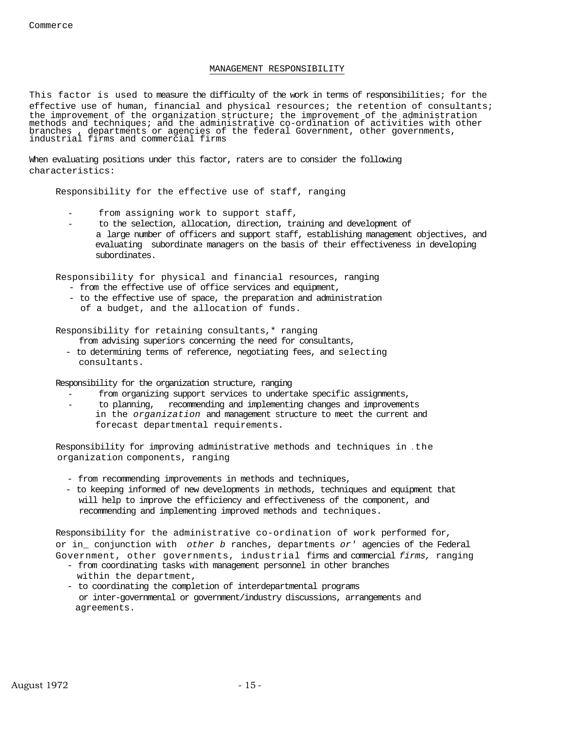# MANAGEMENT RESPONSIBILITY

This factor is used to measure the difficulty of the work in terms of responsibilities; for the effective use of human, financial and physical resources; the retention of consultants; the improvement of the organization structure; the improvement of the administration methods and techniques; and the administrative co-ordination of activities with other branches , departments or agencies of the federal Government, other governments, industrial firms and commercial firms

When evaluating positions under this factor, raters are to consider the following characteristics:

Responsibility for the effective use of staff, ranging

- from assigning work to support staff,
- to the selection, allocation, direction, training and development of a large number of officers and support staff, establishing management objectives, and evaluating subordinate managers on the basis of their effectiveness in developing subordinates.

Responsibility for physical and financial resources, ranging

- from the effective use of office services and equipment,
- to the effective use of space, the preparation and administration
- of a budget, and the allocation of funds.

Responsibility for retaining consultants,\* ranging

from advising superiors concerning the need for consultants,

- to determining terms of reference, negotiating fees, and selecting consultants.

Responsibility for the organization structure, ranging

- from organizing support services to undertake specific assignments,
- to planning, recommending and implementing changes and improvements in the *organization* and management structure to meet the current and forecast departmental requirements.

Responsibility for improving administrative methods and techniques in *.* the organization components, ranging

- from recommending improvements in methods and techniques,
- to keeping informed of new developments in methods, techniques and equipment that will help to improve the efficiency and effectiveness of the component, and recommending and implementing improved methods and techniques.

Responsibility for the administrative co-ordination of work performed for, or in\_ conjunction with *other b* ranches, departments *or'* agencies of the Federal Government, other governments, industrial firms and commercial *firms,* ranging

- from coordinating tasks with management personnel in other branches within the department,
- to coordinating the completion of interdepartmental programs or inter-governmental or government/industry discussions, arrangements and agreements.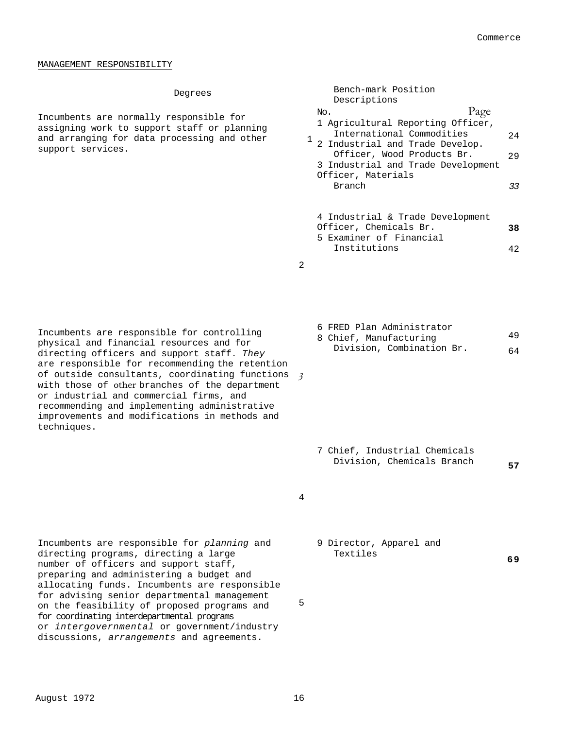42

49 64

#### MANAGEMENT RESPONSIBILITY

Incumbents are normally responsible for assigning work to support staff or planning and arranging for data processing and other support services.

| Degrees                                                   | Bench-mark Position<br>Descriptions                                                                                                                                                                                  |                  |
|-----------------------------------------------------------|----------------------------------------------------------------------------------------------------------------------------------------------------------------------------------------------------------------------|------------------|
| esponsible for<br>staff or planning<br>ocessing and other | Page<br>No.<br>1 Agricultural Reporting Officer,<br>International Commodities<br>2 Industrial and Trade Develop.<br>Officer, Wood Products Br.<br>3 Industrial and Trade Development<br>Officer, Materials<br>Branch | 2.4<br>2.9<br>33 |
|                                                           | 4 Industrial & Trade Development<br>Officer, Chemicals Br.                                                                                                                                                           | 38               |

5 Examiner of Financial Institutions

6 FRED Plan Administrator 8 Chief, Manufacturing

Division, Combination Br.

2

Incumbents are responsible for controlling physical and financial resources and for directing officers and support staff. *They*  are responsible for recommending the retention of outside consultants, coordinating functions *3*  with those of other branches of the department or industrial and commercial firms, and recommending and implementing administrative improvements and modifications in methods and techniques.

> 7 Chief, Industrial Chemicals Division, Chemicals Branch **<sup>57</sup>**

Incumbents are responsible for *planning* and directing programs, directing a large number of officers and support staff, preparing and administering a budget and allocating funds. Incumbents are responsible for advising senior departmental management on the feasibility of proposed programs and for coordinating interdepartmental programs or *intergovernmental* or government/industry discussions, *arrangements* and agreements.

4

9 Director, Apparel and Textiles

**69**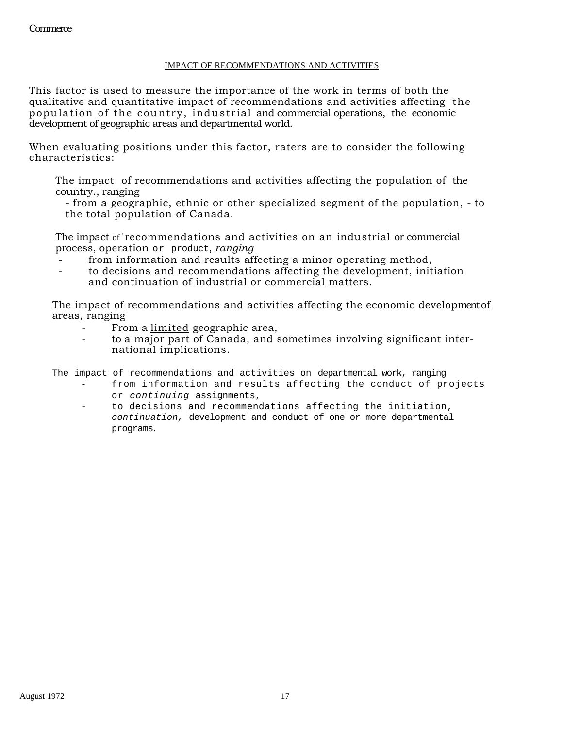# IMPACT OF RECOMMENDATIONS AND ACTIVITIES

This factor is used to measure the importance of the work in terms of both the qualitative and quantitative impact of recommendations and activities affecting the population of the country, industrial and commercial operations, the economic development of geographic areas and departmental world.

When evaluating positions under this factor, raters are to consider the following characteristics:

The impact of recommendations and activities affecting the population of the country., ranging

- from a geographic, ethnic or other specialized segment of the population, - to the total population of Canada.

The impact of 'recommendations and activities on an industrial or commercial process, operation or product, *ranging* 

- from information and results affecting a minor operating method,
- to decisions and recommendations affecting the development, initiation and continuation of industrial or commercial matters.

The impact of recommendations and activities affecting the economic development of areas, ranging

- From a limited geographic area,
- to a major part of Canada, and sometimes involving significant international implications.

The impact of recommendations and activities on departmental work, ranging

- from information and results affecting the conduct of projects or *continuing* assignments,
- to decisions and recommendations affecting the initiation, *continuation,* development and conduct of one or more departmental programs.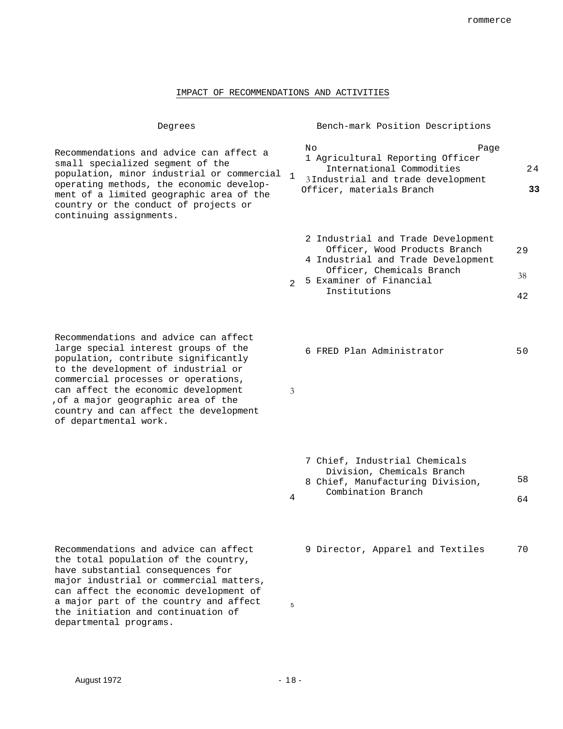### IMPACT OF RECOMMENDATIONS AND ACTIVITIES

Degrees Bench-mark Position Descriptions

Recommendations and advice can affect large special interest groups of the population, contribute significantly to the development of industrial or commercial processes or operations, can affect the economic development ,of a major geographic area of the country and can affect the development of departmental work.

Recommendations and advice can affect the total population of the country, have substantial consequences for major industrial or commercial matters, can affect the economic development of a major part of the country and affect the initiation and continuation of departmental programs.

|  | Νo<br>Page                                      |    |
|--|-------------------------------------------------|----|
|  | 1 Agricultural Reporting Officer                |    |
|  | International Commodities                       | 24 |
|  | $\frac{1}{2}$ 3Industrial and trade development |    |
|  | Officer, materials Branch                       | २२ |
|  |                                                 |    |

|  | 2 Industrial and Trade Development |    |
|--|------------------------------------|----|
|  | Officer, Wood Products Branch      | 29 |
|  | 4 Industrial and Trade Development |    |
|  | Officer, Chemicals Branch          | 38 |
|  | 5 Examiner of Financial            |    |
|  | Institutions                       |    |

6 FRED Plan Administrator 50

3

- 4 7 Chief, Industrial Chemicals Division, Chemicals Branch 8 Chief, Manufacturing Division, Combination Branch 58 64
	- 9 Director, Apparel and Textiles 70

August 1972 - 18 -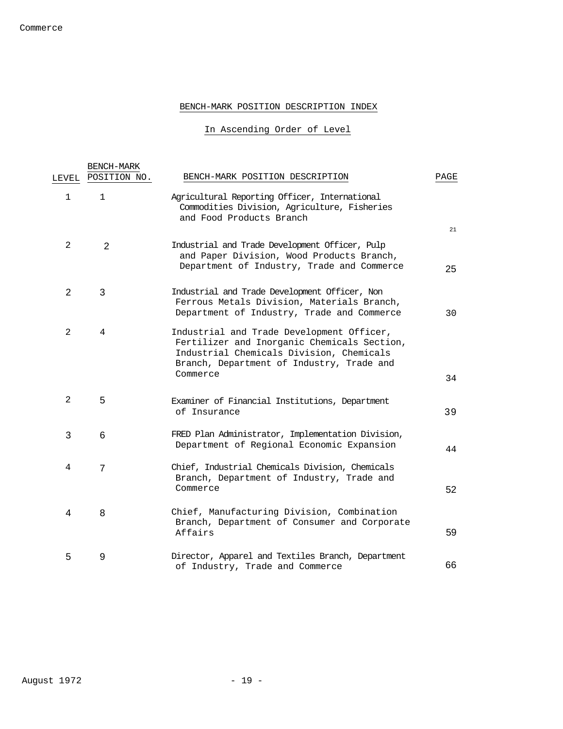# BENCH-MARK POSITION DESCRIPTION INDEX

In Ascending Order of Level

|             | BENCH-MARK     |                                                                                                                                                                                               |      |
|-------------|----------------|-----------------------------------------------------------------------------------------------------------------------------------------------------------------------------------------------|------|
| LEVEL       | POSITION NO.   | BENCH-MARK POSITION DESCRIPTION                                                                                                                                                               | PAGE |
| $\mathbf 1$ | $\mathbf{1}$   | Agricultural Reporting Officer, International<br>Commodities Division, Agriculture, Fisheries<br>and Food Products Branch                                                                     | 21   |
| 2           | 2              | Industrial and Trade Development Officer, Pulp<br>and Paper Division, Wood Products Branch,<br>Department of Industry, Trade and Commerce                                                     | 25   |
| 2           | 3              | Industrial and Trade Development Officer, Non<br>Ferrous Metals Division, Materials Branch,<br>Department of Industry, Trade and Commerce                                                     | 30   |
| 2           | 4              | Industrial and Trade Development Officer,<br>Fertilizer and Inorganic Chemicals Section,<br>Industrial Chemicals Division, Chemicals<br>Branch, Department of Industry, Trade and<br>Commerce | 34   |
| 2           | 5              | Examiner of Financial Institutions, Department<br>of Insurance                                                                                                                                | 39   |
| 3           | 6              | FRED Plan Administrator, Implementation Division,<br>Department of Regional Economic Expansion                                                                                                | 44   |
| 4           | $\overline{7}$ | Chief, Industrial Chemicals Division, Chemicals<br>Branch, Department of Industry, Trade and<br>Commerce                                                                                      | 52   |
| 4           | 8              | Chief, Manufacturing Division, Combination<br>Branch, Department of Consumer and Corporate<br>Affairs                                                                                         | 59   |
| 5           | 9              | Director, Apparel and Textiles Branch, Department<br>of Industry, Trade and Commerce                                                                                                          | 66   |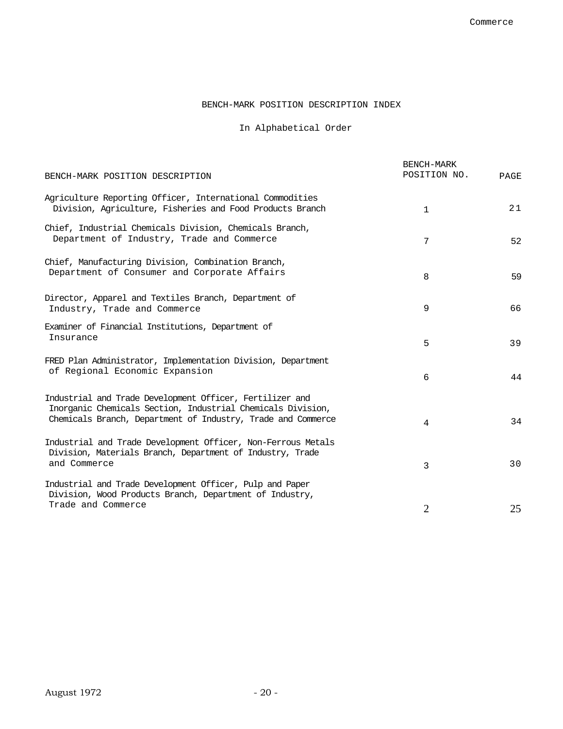# BENCH-MARK POSITION DESCRIPTION INDEX

# In Alphabetical Order

|                                                                                                                                                                                         | BENCH-MARK<br>POSITION NO. |      |
|-----------------------------------------------------------------------------------------------------------------------------------------------------------------------------------------|----------------------------|------|
| BENCH-MARK POSITION DESCRIPTION                                                                                                                                                         |                            | PAGE |
| Agriculture Reporting Officer, International Commodities<br>Division, Agriculture, Fisheries and Food Products Branch                                                                   | 1                          | 21   |
| Chief, Industrial Chemicals Division, Chemicals Branch,<br>Department of Industry, Trade and Commerce                                                                                   | 7                          | 52   |
| Chief, Manufacturing Division, Combination Branch,<br>Department of Consumer and Corporate Affairs                                                                                      | 8                          | 59   |
| Director, Apparel and Textiles Branch, Department of<br>Industry, Trade and Commerce                                                                                                    | 9                          | 66   |
| Examiner of Financial Institutions, Department of<br>Insurance                                                                                                                          | 5                          | 39   |
| FRED Plan Administrator, Implementation Division, Department<br>of Regional Economic Expansion                                                                                          | 6                          | 44   |
| Industrial and Trade Development Officer, Fertilizer and<br>Inorganic Chemicals Section, Industrial Chemicals Division,<br>Chemicals Branch, Department of Industry, Trade and Commerce | 4                          | 34   |
| Industrial and Trade Development Officer, Non-Ferrous Metals<br>Division, Materials Branch, Department of Industry, Trade<br>and Commerce                                               | 3                          | 30   |
| Industrial and Trade Development Officer, Pulp and Paper<br>Division, Wood Products Branch, Department of Industry,<br>Trade and Commerce                                               | $\overline{2}$             | 25   |
|                                                                                                                                                                                         |                            |      |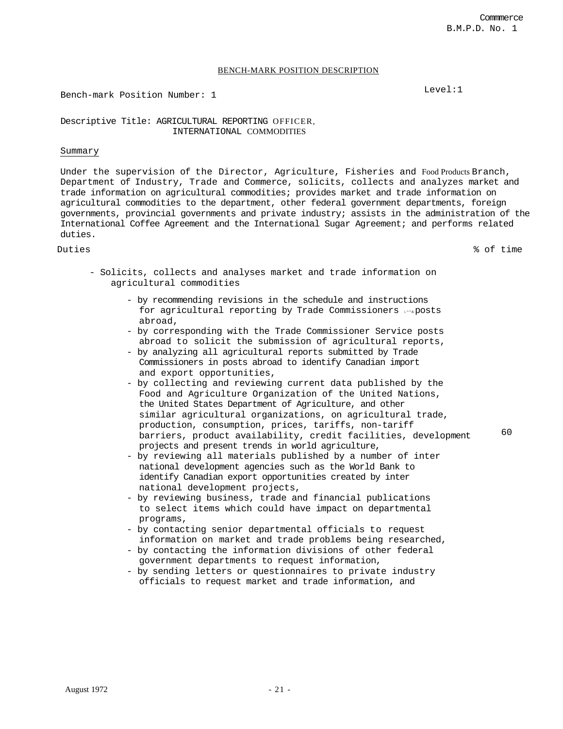# BENCH-MARK POSITION DESCRIPTION

Bench-mark Position Number: 1 Level:1

Descriptive Title: AGRICULTURAL REPORTING OFFICER, INTERNATIONAL COMMODITIES

# Summary

Under the supervision of the Director, Agriculture, Fisheries and Food Products Branch, Department of Industry, Trade and Commerce, solicits, collects and analyzes market and trade information on agricultural commodities; provides market and trade information on agricultural commodities to the department, other federal government departments, foreign governments, provincial governments and private industry; assists in the administration of the International Coffee Agreement and the International Sugar Agreement; and performs related duties.

Duties % of time

- Solicits, collects and analyses market and trade information on agricultural commodities
	- by recommending revisions in the schedule and instructions for agricultural reporting by Trade Commissioners imposts abroad,
	- by corresponding with the Trade Commissioner Service posts abroad to solicit the submission of agricultural reports,
	- by analyzing all agricultural reports submitted by Trade Commissioners in posts abroad to identify Canadian import and export opportunities,
	- by collecting and reviewing current data published by the Food and Agriculture Organization of the United Nations, the United States Department of Agriculture, and other similar agricultural organizations, on agricultural trade, production, consumption, prices, tariffs, non-tariff barriers, product availability, credit facilities, development projects and present trends in world agriculture,
	- by reviewing all materials published by a number of inter national development agencies such as the World Bank to identify Canadian export opportunities created by inter national development projects,
	- by reviewing business, trade and financial publications to select items which could have impact on departmental programs,
	- by contacting senior departmental officials to request information on market and trade problems being researched,
	- by contacting the information divisions of other federal government departments to request information,
	- by sending letters or questionnaires to private industry officials to request market and trade information, and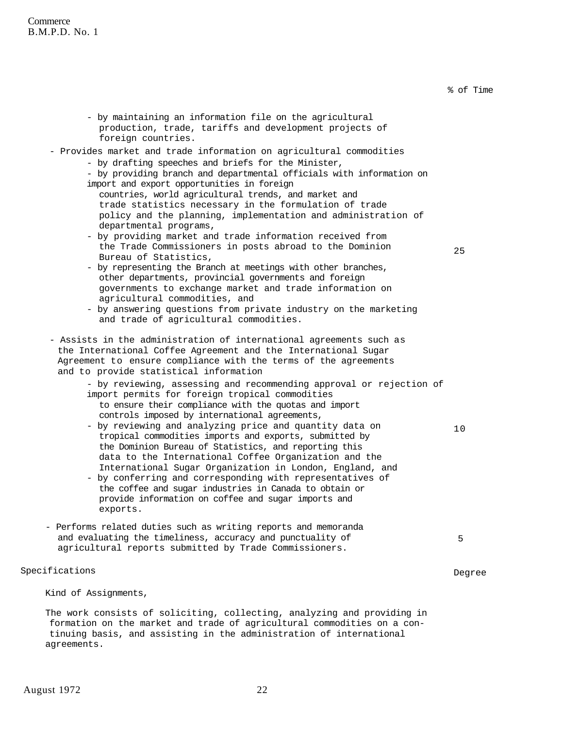**Commerce** B.M.P.D. No. 1

> - by maintaining an information file on the agricultural production, trade, tariffs and development projects of foreign countries.

# - Provides market and trade information on agricultural commodities

- by drafting speeches and briefs for the Minister,

- by providing branch and departmental officials with information on import and export opportunities in foreign

- countries, world agricultural trends, and market and trade statistics necessary in the formulation of trade policy and the planning, implementation and administration of departmental programs,
- by providing market and trade information received from the Trade Commissioners in posts abroad to the Dominion Bureau of Statistics,
- by representing the Branch at meetings with other branches, other departments, provincial governments and foreign governments to exchange market and trade information on agricultural commodities, and
- by answering questions from private industry on the marketing and trade of agricultural commodities.
- Assists in the administration of international agreements such as the International Coffee Agreement and the International Sugar Agreement to ensure compliance with the terms of the agreements and to provide statistical information
	- by reviewing, assessing and recommending approval or rejection of import permits for foreign tropical commodities to ensure their compliance with the quotas and import
		- controls imposed by international agreements,
	- by reviewing and analyzing price and quantity data on tropical commodities imports and exports, submitted by the Dominion Bureau of Statistics, and reporting this data to the International Coffee Organization and the International Sugar Organization in London, England, and
	- by conferring and corresponding with representatives of the coffee and sugar industries in Canada to obtain or provide information on coffee and sugar imports and exports.
- Performs related duties such as writing reports and memoranda and evaluating the timeliness, accuracy and punctuality of agricultural reports submitted by Trade Commissioners.

# Specifications Degree

Kind of Assignments,

The work consists of soliciting, collecting, analyzing and providing in formation on the market and trade of agricultural commodities on a continuing basis, and assisting in the administration of international agreements.

25

% of Time

5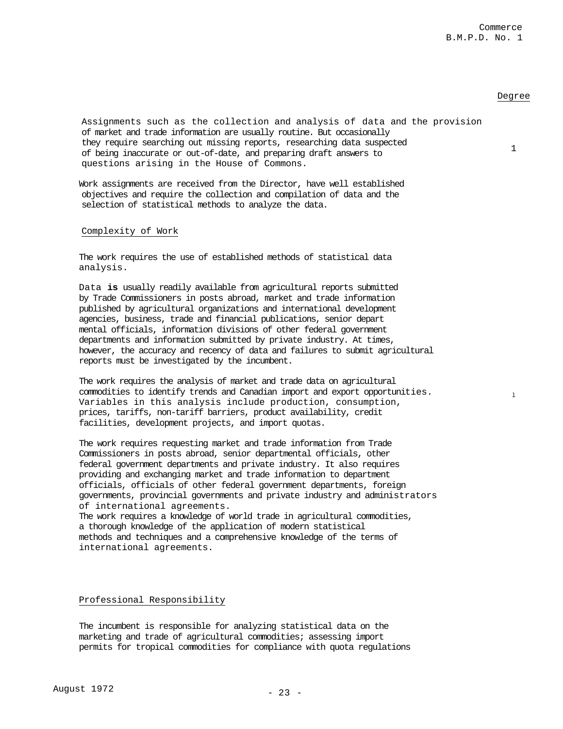### Degree

1

l

Assignments such as the collection and analysis of data and the provision of market and trade information are usually routine. But occasionally they require searching out missing reports, researching data suspected of being inaccurate or out-of-date, and preparing draft answers to questions arising in the House of Commons.

Work assignments are received from the Director, have well established objectives and require the collection and compilation of data and the selection of statistical methods to analyze the data.

## Complexity of Work

The work requires the use of established methods of statistical data analysis.

Data **is** usually readily available from agricultural reports submitted by Trade Commissioners in posts abroad, market and trade information published by agricultural organizations and international development agencies, business, trade and financial publications, senior depart mental officials, information divisions of other federal government departments and information submitted by private industry. At times, however, the accuracy and recency of data and failures to submit agricultural reports must be investigated by the incumbent.

The work requires the analysis of market and trade data on agricultural commodities to identify trends and Canadian import and export opportunities. Variables in this analysis include production, consumption, prices, tariffs, non-tariff barriers, product availability, credit facilities, development projects, and import quotas.

The work requires requesting market and trade information from Trade Commissioners in posts abroad, senior departmental officials, other federal government departments and private industry. It also requires providing and exchanging market and trade information to department officials, officials of other federal government departments, foreign governments, provincial governments and private industry and administrators of international agreements. The work requires a knowledge of world trade in agricultural commodities, a thorough knowledge of the application of modern statistical methods and techniques and a comprehensive knowledge of the terms of

international agreements.

#### Professional Responsibility

The incumbent is responsible for analyzing statistical data on the marketing and trade of agricultural commodities; assessing import permits for tropical commodities for compliance with quota regulations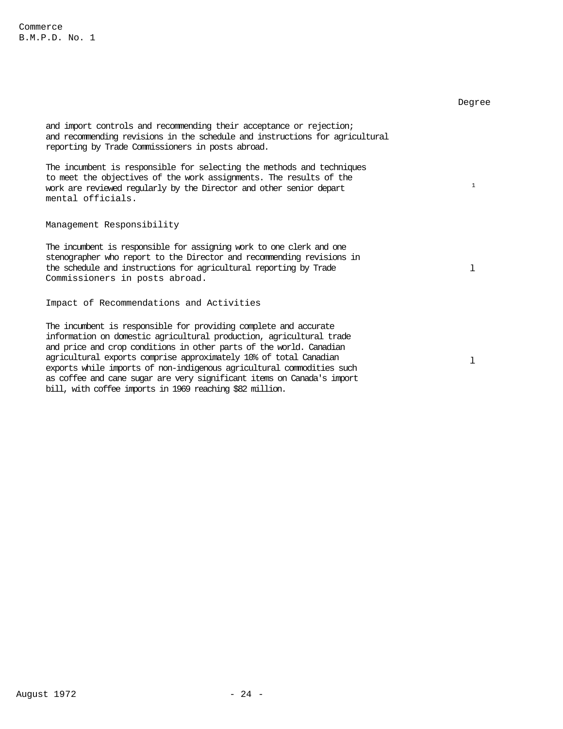|                                                                                                                                                                                                                                                                                                                                                                                                                                                    | Degree       |
|----------------------------------------------------------------------------------------------------------------------------------------------------------------------------------------------------------------------------------------------------------------------------------------------------------------------------------------------------------------------------------------------------------------------------------------------------|--------------|
| and import controls and recommending their acceptance or rejection;<br>and recommending revisions in the schedule and instructions for agricultural<br>reporting by Trade Commissioners in posts abroad.                                                                                                                                                                                                                                           |              |
| The incumbent is responsible for selecting the methods and techniques<br>to meet the objectives of the work assignments. The results of the<br>work are reviewed regularly by the Director and other senior depart<br>mental officials.                                                                                                                                                                                                            | $\mathbf{1}$ |
| Management Responsibility                                                                                                                                                                                                                                                                                                                                                                                                                          |              |
| The incumbent is responsible for assigning work to one clerk and one<br>stenographer who report to the Director and recommending revisions in<br>the schedule and instructions for agricultural reporting by Trade<br>Commissioners in posts abroad.                                                                                                                                                                                               |              |
| Impact of Recommendations and Activities                                                                                                                                                                                                                                                                                                                                                                                                           |              |
| The incumbent is responsible for providing complete and accurate<br>information on domestic agricultural production, agricultural trade<br>and price and crop conditions in other parts of the world. Canadian<br>$\mathbf{a}$ , and the set of the set of the set of the set of the set of the set of the set of the set of the set of the set of the set of the set of the set of the set of the set of the set of the set of the set of the set |              |

agricultural exports comprise approximately 10% of total Canadian exports while imports of non-indigenous agricultural commodities such as coffee and cane sugar are very significant items on Canada's import bill, with coffee imports in 1969 reaching \$82 million.

l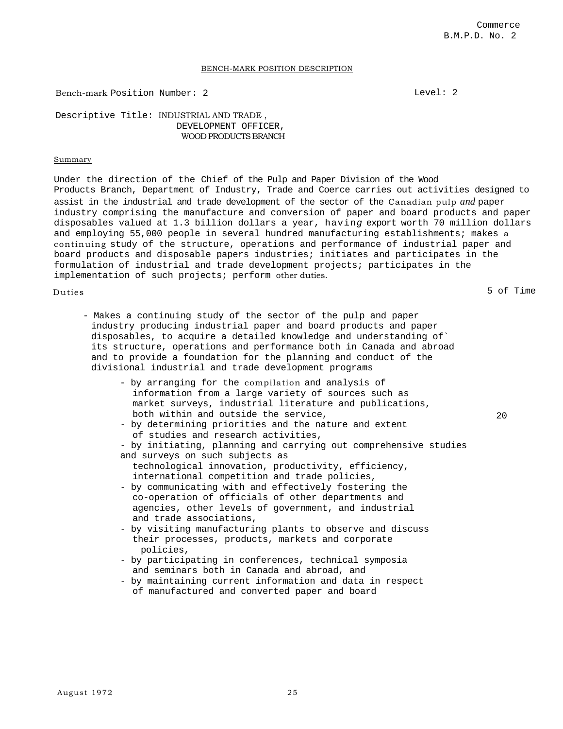#### BENCH-MARK POSITION DESCRIPTION

Bench-mark Position Number: 2 Level: 2

Descriptive Title: INDUSTRIAL AND TRADE , DEVELOPMENT OFFICER, WOOD PRODUCTS BRANCH

#### Summary

Under the direction of the Chief of the Pulp and Paper Division of the Wood Products Branch, Department of Industry, Trade and Coerce carries out activities designed to assist in the industrial and trade development of the sector of the Canadian pulp *and* paper industry comprising the manufacture and conversion of paper and board products and paper disposables valued at 1.3 billion dollars a year, havin*g* export worth 70 million dollars and employing 55,000 people in several hundred manufacturing establishments; makes a continuing study of the structure, operations and performance of industrial paper and board products and disposable papers industries; initiates and participates in the formulation of industrial and trade development projects; participates in the implementation of such projects; perform other duties.

Duties 5 of Time that the set of  $\sim$  5 of  $\sim$  5 of  $\sim$  5 of  $\sim$  5 of  $\sim$  5 of  $\sim$  5 of  $\sim$  5 of  $\sim$  5 of  $\sim$  5 of  $\sim$  5 of  $\sim$  5 of  $\sim$  5 of  $\sim$  5 of  $\sim$  5 of  $\sim$  5 of  $\sim$  5 of  $\sim$  5 of  $\sim$  5 of  $\sim$  5 of

- Makes a continuing study of the sector of the pulp and paper industry producing industrial paper and board products and paper disposables, to acquire a detailed knowledge and understanding of` its structure, operations and performance both in Canada and abroad and to provide a foundation for the planning and conduct of the divisional industrial and trade development programs
	- by arranging for the compilation and analysis of information from a large variety of sources such as market surveys, industrial literature and publications, both within and outside the service,
	- by determining priorities and the nature and extent of studies and research activities,
	- by initiating, planning and carrying out comprehensive studies and surveys on such subjects as
	- technological innovation, productivity, efficiency, international competition and trade policies,
	- by communicating with and effectively fostering the co-operation of officials of other departments and agencies, other levels of government, and industrial and trade associations,
	- by visiting manufacturing plants to observe and discuss their processes, products, markets and corporate policies,
	- by participating in conferences, technical symposia and seminars both in Canada and abroad, and
	- by maintaining current information and data in respect of manufactured and converted paper and board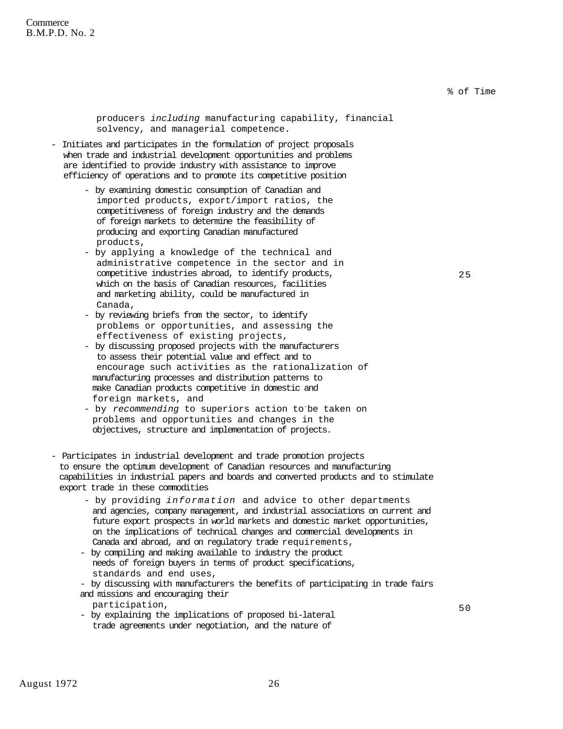**Commerce** B.M.P.D. No. 2

% of Time

25

producers *including* manufacturing capability, financial solvency, and managerial competence.

- Initiates and participates in the formulation of project proposals when trade and industrial development opportunities and problems are identified to provide industry with assistance to improve efficiency of operations and to promote its competitive position

- by examining domestic consumption of Canadian and imported products, export/import ratios, the competitiveness of foreign industry and the demands of foreign markets to determine the feasibility of producing and exporting Canadian manufactured products,
- by applying a knowledge of the technical and administrative competence in the sector and in competitive industries abroad, to identify products, which on the basis of Canadian resources, facilities and marketing ability, could be manufactured in Canada,
- by reviewing briefs from the sector, to identify problems or opportunities, and assessing the effectiveness of existing projects,
- by discussing proposed projects with the manufacturers to assess their potential value and effect and to encourage such activities as the rationalization of manufacturing processes and distribution patterns to make Canadian products competitive in domestic and foreign markets, and
- by *recommending* to superiors action to-be taken on problems and opportunities and changes in the objectives, structure and implementation of projects.

- Participates in industrial development and trade promotion projects to ensure the optimum development of Canadian resources and manufacturing capabilities in industrial papers and boards and converted products and to stimulate export trade in these commodities

- by providing *information* and advice to other departments and agencies, company management, and industrial associations on current and future export prospects in world markets and domestic market opportunities, on the implications of technical changes and commercial developments in Canada and abroad, and on regulatory trade requirements,
- by compiling and making available to industry the product needs of foreign buyers in terms of product specifications, standards and end uses,
- by discussing with manufacturers the benefits of participating in trade fairs and missions and encouraging their
	- participation,
- by explaining the implications of proposed bi-lateral trade agreements under negotiation, and the nature of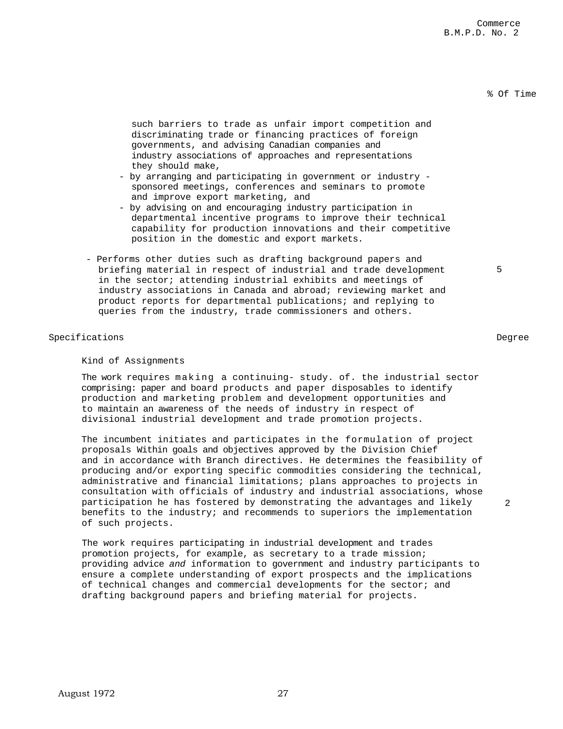# % Of Time

such barriers to trade as unfair import competition and discriminating trade or financing practices of foreign governments, and advising Canadian companies and industry associations of approaches and representations they should make,

- by arranging and participating in government or industry sponsored meetings, conferences and seminars to promote and improve export marketing, and
- by advising on and encouraging industry participation in departmental incentive programs to improve their technical capability for production innovations and their competitive position in the domestic and export markets.
- Performs other duties such as drafting background papers and briefing material in respect of industrial and trade development in the sector; attending industrial exhibits and meetings of industry associations in Canada and abroad; reviewing market and product reports for departmental publications; and replying to queries from the industry, trade commissioners and others.

### Specifications Degree

Kind of Assignments

The work requires making a continuing- study. of. the industrial sector comprising: paper and board products and paper disposables to identify production and marketing problem and development opportunities and to maintain an awareness of the needs of industry in respect of divisional industrial development and trade promotion projects.

The incumbent initiates and participates in the formulation of project proposals Within goals and objectives approved by the Division Chief and in accordance with Branch directives. He determines the feasibility of producing and/or exporting specific commodities considering the technical, administrative and financial limitations; plans approaches to projects in consultation with officials of industry and industrial associations, whose participation he has fostered by demonstrating the advantages and likely benefits to the industry; and recommends to superiors the implementation of such projects.

The work requires participating in industrial development and trades promotion projects, for example, as secretary to a trade mission; providing advice *and* information to government and industry participants to ensure a complete understanding of export prospects and the implications of technical changes and commercial developments for the sector; and drafting background papers and briefing material for projects.

5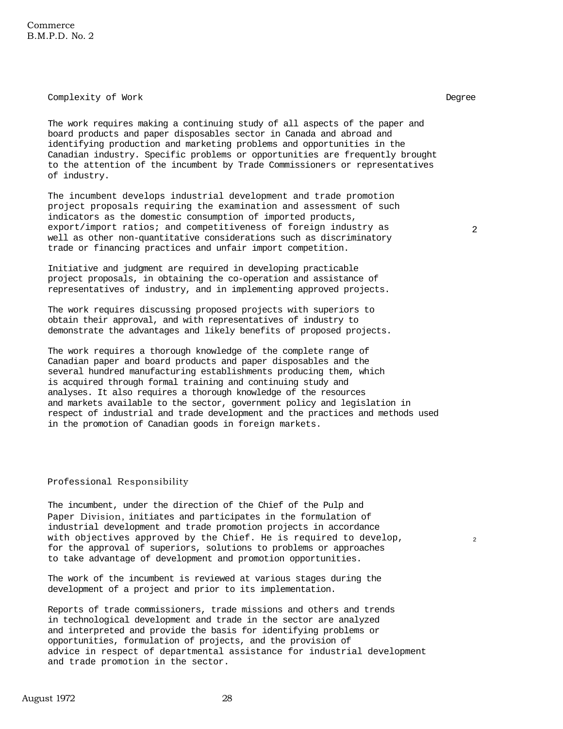Complexity of Work Degree

The work requires making a continuing study of all aspects of the paper and board products and paper disposables sector in Canada and abroad and identifying production and marketing problems and opportunities in the Canadian industry. Specific problems or opportunities are frequently brought to the attention of the incumbent by Trade Commissioners or representatives of industry.

The incumbent develops industrial development and trade promotion project proposals requiring the examination and assessment of such indicators as the domestic consumption of imported products, export/import ratios; and competitiveness of foreign industry as well as other non-quantitative considerations such as discriminatory trade or financing practices and unfair import competition.

2

 $\overline{2}$ 

Initiative and judgment are required in developing practicable project proposals, in obtaining the co-operation and assistance of representatives of industry, and in implementing approved projects.

The work requires discussing proposed projects with superiors to obtain their approval, and with representatives of industry to demonstrate the advantages and likely benefits of proposed projects.

The work requires a thorough knowledge of the complete range of Canadian paper and board products and paper disposables and the several hundred manufacturing establishments producing them, which is acquired through formal training and continuing study and analyses. It also requires a thorough knowledge of the resources and markets available to the sector, government policy and legislation in respect of industrial and trade development and the practices and methods used in the promotion of Canadian goods in foreign markets.

# Professional Responsibility

The incumbent, under the direction of the Chief of the Pulp and Paper Division, initiates and participates in the formulation of industrial development and trade promotion projects in accordance with objectives approved by the Chief. He is required to develop, for the approval of superiors, solutions to problems or approaches to take advantage of development and promotion opportunities.

The work of the incumbent is reviewed at various stages during the development of a project and prior to its implementation.

Reports of trade commissioners, trade missions and others and trends in technological development and trade in the sector are analyzed and interpreted and provide the basis for identifying problems or opportunities, formulation of projects, and the provision of advice in respect of departmental assistance for industrial development and trade promotion in the sector.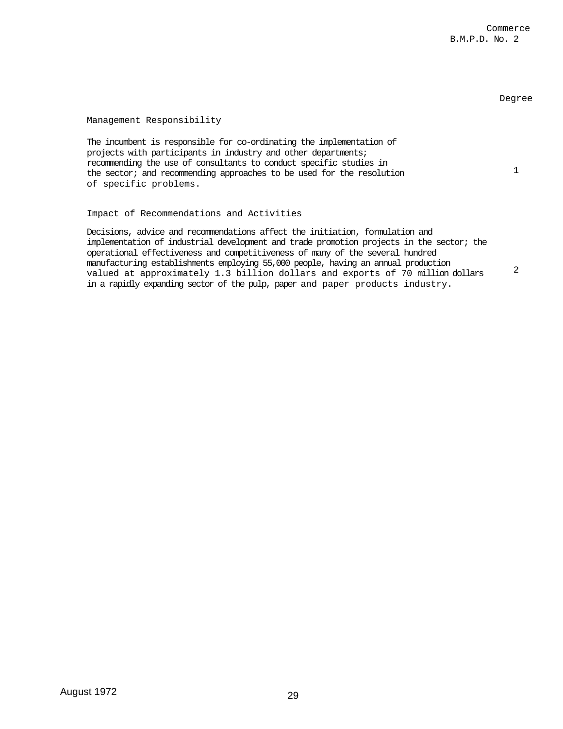## Degree

1

2

# Management Responsibility

The incumbent is responsible for co-ordinating the implementation of projects with participants in industry and other departments; recommending the use of consultants to conduct specific studies in the sector; and recommending approaches to be used for the resolution of specific problems.

Impact of Recommendations and Activities

Decisions, advice and recommendations affect the initiation, formulation and implementation of industrial development and trade promotion projects in the sector; the operational effectiveness and competitiveness of many of the several hundred manufacturing establishments employing 55,000 people, having an annual production valued at approximately 1.3 billion dollars and exports of 70 million dollars in a rapidly expanding sector of the pulp, paper and paper products industry.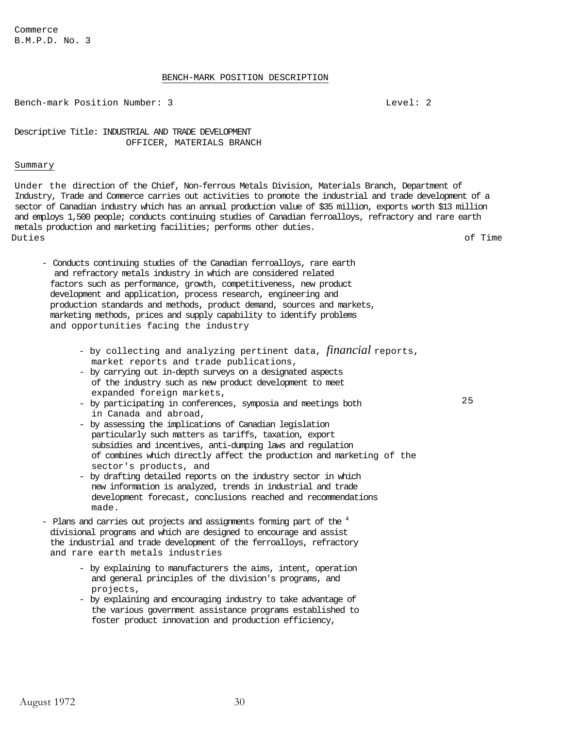Commerce B.M.P.D. No. 3

#### BENCH-MARK POSITION DESCRIPTION

Bench-mark Position Number: 3 and 2008 and 2008 and 2008 and 2008 and 2008 and 2008 and 2008 and 2008 and 2008

Descriptive Title: INDUSTRIAL AND TRADE DEVELOPMENT OFFICER, MATERIALS BRANCH

# Summary

Under the direction of the Chief, Non-ferrous Metals Division, Materials Branch, Department of Industry, Trade and Commerce carries out activities to promote the industrial and trade development of a sector of Canadian industry which has an annual production value of \$35 million, exports worth \$13 million and employs 1,500 people; conducts continuing studies of Canadian ferroalloys, refractory and rare earth metals production and marketing facilities; performs other duties. Duties of Time

- Conducts continuing studies of the Canadian ferroalloys, rare earth and refractory metals industry in which are considered related factors such as performance, growth, competitiveness, new product development and application, process research, engineering and production standards and methods, product demand, sources and markets, marketing methods, prices and supply capability to identify problems and opportunities facing the industry
	- by collecting and analyzing pertinent data, *financial* reports, market reports and trade publications,
	- by carrying out in-depth surveys on a designated aspects of the industry such as new product development to meet expanded foreign markets,
	- by participating in conferences, symposia and meetings both in Canada and abroad,
	- by assessing the implications of Canadian legislation particularly such matters as tariffs, taxation, export subsidies and incentives, anti-dumping laws and regulation of combines which directly affect the production and marketing of the sector's products, and
	- by drafting detailed reports on the industry sector in which new information is analyzed, trends in industrial and trade development forecast, conclusions reached and recommendations made.
- Plans and carries out projects and assignments forming part of the <sup>4</sup> divisional programs and which are designed to encourage and assist the industrial and trade development of the ferroalloys, refractory and rare earth metals industries
	- by explaining to manufacturers the aims, intent, operation and general principles of the division's programs, and projects,
	- by explaining and encouraging industry to take advantage of the various government assistance programs established to foster product innovation and production efficiency,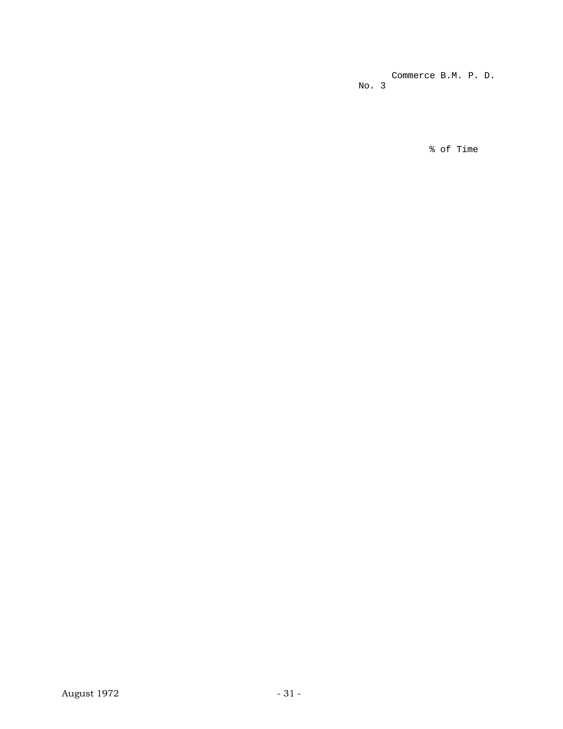Commerce B.M. P. D. No. 3

% of Time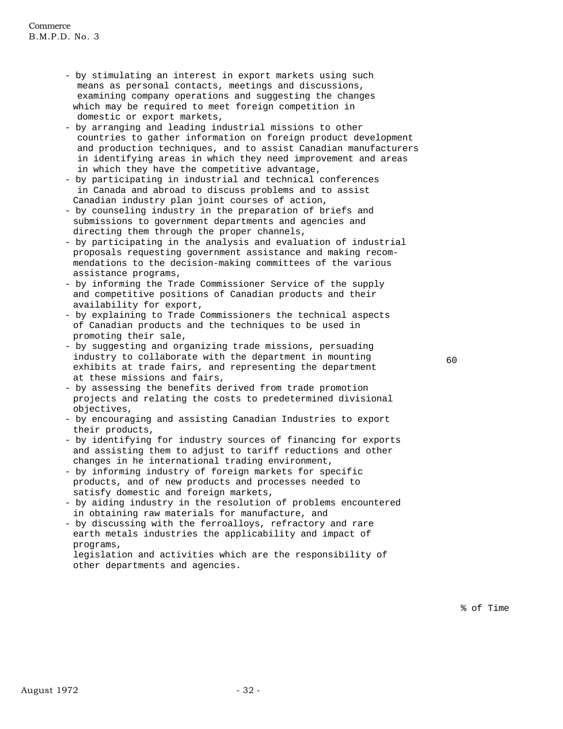- by stimulating an interest in export markets using such means as personal contacts, meetings and discussions, examining company operations and suggesting the changes which may be required to meet foreign competition in domestic or export markets,
- by arranging and leading industrial missions to other countries to gather information on foreign product development and production techniques, and to assist Canadian manufacturers in identifying areas in which they need improvement and areas in which they have the competitive advantage,
- by participating in industrial and technical conferences in Canada and abroad to discuss problems and to assist Canadian industry plan joint courses of action,
- by counseling industry in the preparation of briefs and submissions to government departments and agencies and directing them through the proper channels,
- by participating in the analysis and evaluation of industrial proposals requesting government assistance and making recommendations to the decision-making committees of the various assistance programs,
- by informing the Trade Commissioner Service of the supply and competitive positions of Canadian products and their availability for export,
- by explaining to Trade Commissioners the technical aspects of Canadian products and the techniques to be used in promoting their sale,
- by suggesting and organizing trade missions, persuading industry to collaborate with the department in mounting exhibits at trade fairs, and representing the department at these missions and fairs,
- by assessing the benefits derived from trade promotion projects and relating the costs to predetermined divisional objectives,
- by encouraging and assisting Canadian Industries to export their products,
- by identifying for industry sources of financing for exports and assisting them to adjust to tariff reductions and other changes in he international trading environment,
- by informing industry of foreign markets for specific products, and of new products and processes needed to satisfy domestic and foreign markets,
- by aiding industry in the resolution of problems encountered in obtaining raw materials for manufacture, and
- by discussing with the ferroalloys, refractory and rare earth metals industries the applicability and impact of programs,

legislation and activities which are the responsibility of other departments and agencies.

60

% of Time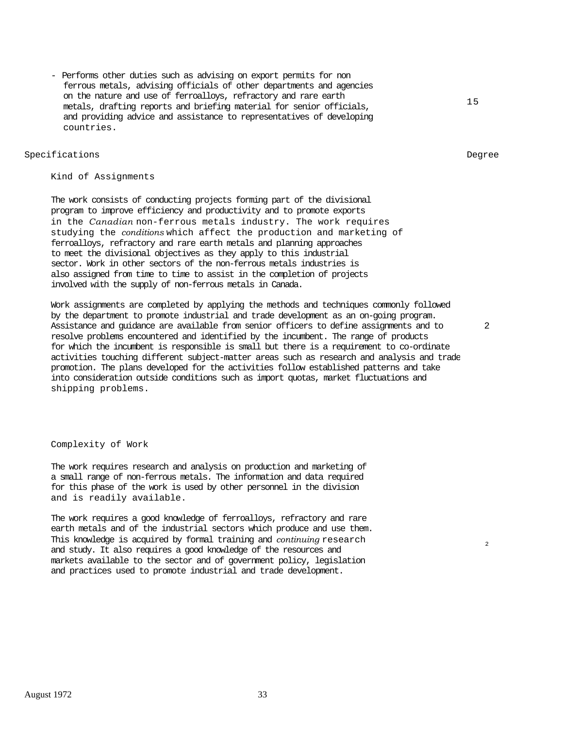- Performs other duties such as advising on export permits for non ferrous metals, advising officials of other departments and agencies on the nature and use of ferroalloys, refractory and rare earth metals, drafting reports and briefing material for senior officials, and providing advice and assistance to representatives of developing countries.

# Specifications Degree

Kind of Assignments

The work consists of conducting projects forming part of the divisional program to improve efficiency and productivity and to promote exports in the *Canadian* non-ferrous metals industry. The work requires studying the *conditions* which affect the production and marketing of ferroalloys, refractory and rare earth metals and planning approaches to meet the divisional objectives as they apply to this industrial sector. Work in other sectors of the non-ferrous metals industries is also assigned from time to time to assist in the completion of projects involved with the supply of non-ferrous metals in Canada.

Work assignments are completed by applying the methods and techniques commonly followed by the department to promote industrial and trade development as an on-going program. Assistance and guidance are available from senior officers to define assignments and to resolve problems encountered and identified by the incumbent. The range of products for which the incumbent is responsible is small but there is a requirement to co-ordinate activities touching different subject-matter areas such as research and analysis and trade promotion. The plans developed for the activities follow established patterns and take into consideration outside conditions such as import quotas, market fluctuations and shipping problems.

Complexity of Work

The work requires research and analysis on production and marketing of a small range of non-ferrous metals. The information and data required for this phase of the work is used by other personnel in the division and is readily available.

The work requires a good knowledge of ferroalloys, refractory and rare earth metals and of the industrial sectors which produce and use them. This knowledge is acquired by formal training and *continuing* research and study. It also requires a good knowledge of the resources and markets available to the sector and of government policy, legislation and practices used to promote industrial and trade development.

15

2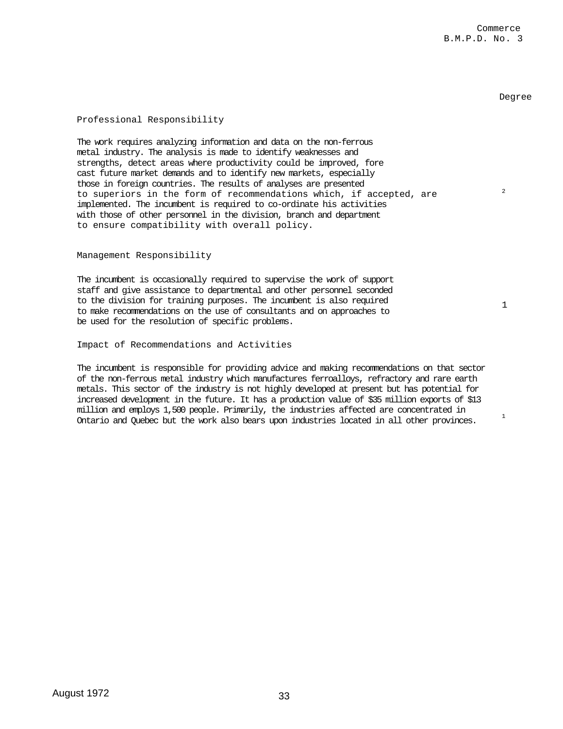2

1

# Professional Responsibility

The work requires analyzing information and data on the non-ferrous metal industry. The analysis is made to identify weaknesses and strengths, detect areas where productivity could be improved, fore cast future market demands and to identify new markets, especially those in foreign countries. The results of analyses are presented to superiors in the form of recommendations which, if accepted, are implemented. The incumbent is required to co-ordinate his activities with those of other personnel in the division, branch and department to ensure compatibility with overall policy.

Management Responsibility

The incumbent is occasionally required to supervise the work of support staff and give assistance to departmental and other personnel seconded to the division for training purposes. The incumbent is also required to make recommendations on the use of consultants and on approaches to be used for the resolution of specific problems.

Impact of Recommendations and Activities

The incumbent is responsible for providing advice and making recommendations on that sector of the non-ferrous metal industry which manufactures ferroalloys, refractory and rare earth metals. This sector of the industry is not highly developed at present but has potential for increased development in the future. It has a production value of \$35 million exports of \$13 million and employs 1,500 people. Primarily, the industries affected are concentrated in Ontario and Quebec but the work also bears upon industries located in all other provinces.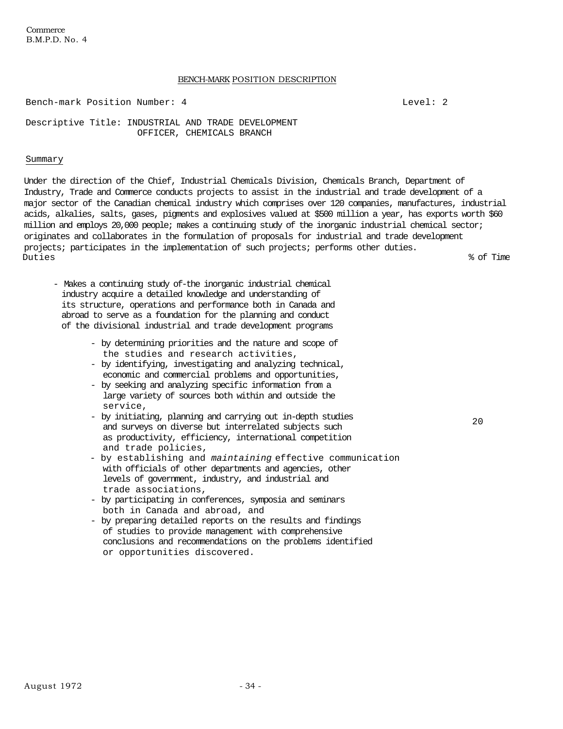**Commerce** B.M.P.D. No. 4

# BENCH-MARK POSITION DESCRIPTION

Bench-mark Position Number: 4 and 1990 and 1990 and 1990 and 1990 and 1990 and 1990 and 1990 and 1990 and 1990

Descriptive Title: INDUSTRIAL AND TRADE DEVELOPMENT OFFICER, CHEMICALS BRANCH

### Summary

Under the direction of the Chief, Industrial Chemicals Division, Chemicals Branch, Department of Industry, Trade and Commerce conducts projects to assist in the industrial and trade development of a major sector of the Canadian chemical industry which comprises over 120 companies, manufactures, industrial acids, alkalies, salts, gases, pigments and explosives valued at \$500 million a year, has exports worth \$60 million and employs 20,000 people; makes a continuing study of the inorganic industrial chemical sector; originates and collaborates in the formulation of proposals for industrial and trade development projects; participates in the implementation of such projects; performs other duties. Duties % of Time

- Makes a continuing study of-the inorganic industrial chemical industry acquire a detailed knowledge and understanding of its structure, operations and performance both in Canada and abroad to serve as a foundation for the planning and conduct of the divisional industrial and trade development programs
	- by determining priorities and the nature and scope of the studies and research activities,
	- by identifying, investigating and analyzing technical, economic and commercial problems and opportunities,
	- by seeking and analyzing specific information from a large variety of sources both within and outside the service,
	- by initiating, planning and carrying out in-depth studies and surveys on diverse but interrelated subjects such as productivity, efficiency, international competition and trade policies,
	- by establishing and *maintaining* effective communication with officials of other departments and agencies, other levels of government, industry, and industrial and trade associations,
	- by participating in conferences, symposia and seminars both in Canada and abroad, and
	- by preparing detailed reports on the results and findings of studies to provide management with comprehensive conclusions and recommendations on the problems identified or opportunities discovered.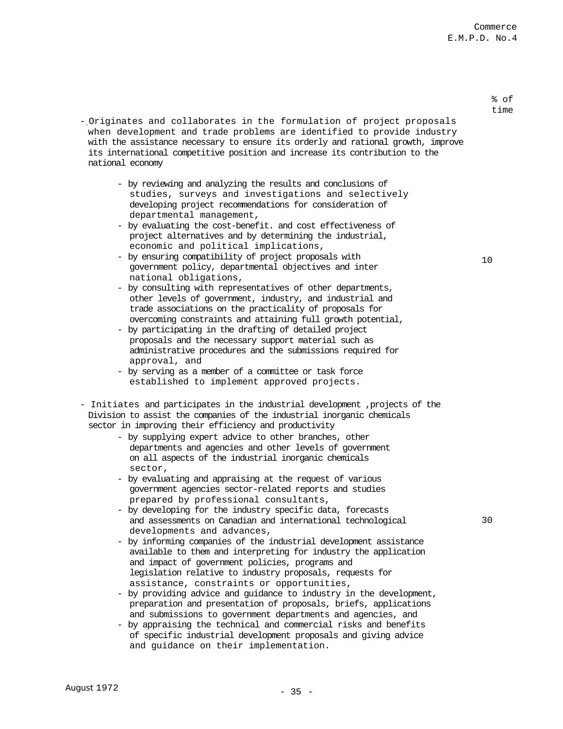- % of time
- Originates and collaborates in the formulation of project proposals when development and trade problems are identified to provide industry with the assistance necessary to ensure its orderly and rational growth, improve its international competitive position and increase its contribution to the national economy
	- by reviewing and analyzing the results and conclusions of studies, surveys and investigations and selectively developing project recommendations for consideration of departmental management,
	- by evaluating the cost-benefit. and cost effectiveness of project alternatives and by determining the industrial, economic and political implications,
	- by ensuring compatibility of project proposals with government policy, departmental objectives and inter national obligations,
	- by consulting with representatives of other departments, other levels of government, industry, and industrial and trade associations on the practicality of proposals for overcoming constraints and attaining full growth potential,
	- by participating in the drafting of detailed project proposals and the necessary support material such as administrative procedures and the submissions required for approval, and
	- by serving as a member of a committee or task force established to implement approved projects.
- Initiates and participates in the industrial development ,projects of the Division to assist the companies of the industrial inorganic chemicals sector in improving their efficiency and productivity
	- by supplying expert advice to other branches, other departments and agencies and other levels of government on all aspects of the industrial inorganic chemicals sector,
	- by evaluating and appraising at the request of various government agencies sector-related reports and studies prepared by professional consultants,
	- by developing for the industry specific data, forecasts and assessments on Canadian and international technological developments and advances,
	- by informing companies of the industrial development assistance available to them and interpreting for industry the application and impact of government policies, programs and legislation relative to industry proposals, requests for assistance, constraints or opportunities,
	- by providing advice and guidance to industry in the development, preparation and presentation of proposals, briefs, applications and submissions to government departments and agencies, and
	- by appraising the technical and commercial risks and benefits of specific industrial development proposals and giving advice and guidance on their implementation.

August 1972 - 35 -

30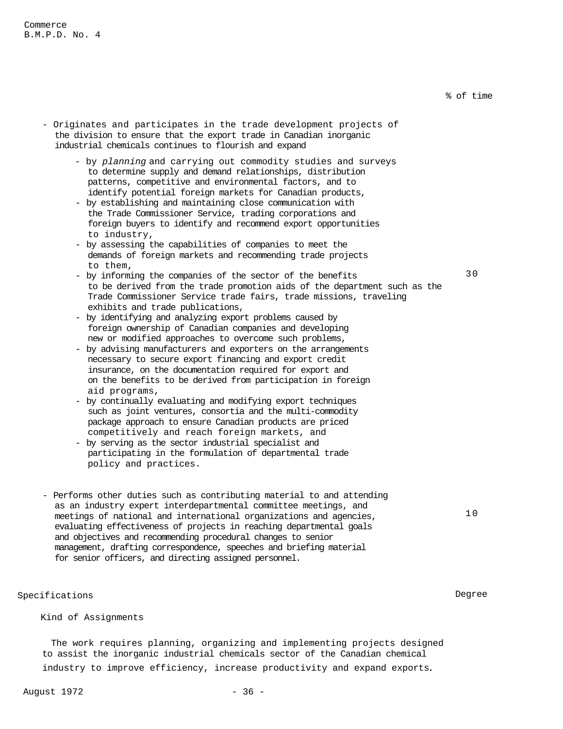- Originates and participates in the trade development projects of the division to ensure that the export trade in Canadian inorganic industrial chemicals continues to flourish and expand
	- by *planning* and carrying out commodity studies and surveys to determine supply and demand relationships, distribution patterns, competitive and environmental factors, and to identify potential foreign markets for Canadian products,
	- by establishing and maintaining close communication with the Trade Commissioner Service, trading corporations and foreign buyers to identify and recommend export opportunities to industry,
	- by assessing the capabilities of companies to meet the demands of foreign markets and recommending trade projects to them,
	- by informing the companies of the sector of the benefits to be derived from the trade promotion aids of the department such as the Trade Commissioner Service trade fairs, trade missions, traveling exhibits and trade publications,
	- by identifying and analyzing export problems caused by foreign ownership of Canadian companies and developing new or modified approaches to overcome such problems,
	- by advising manufacturers and exporters on the arrangements necessary to secure export financing and export credit insurance, on the documentation required for export and on the benefits to be derived from participation in foreign aid programs,
	- by continually evaluating and modifying export techniques such as joint ventures, consortia and the multi-commodity package approach to ensure Canadian products are priced competitively and reach foreign markets, and
	- by serving as the sector industrial specialist and participating in the formulation of departmental trade policy and practices.
- Performs other duties such as contributing material to and attending as an industry expert interdepartmental committee meetings, and meetings of national and international organizations and agencies, evaluating effectiveness of projects in reaching departmental goals and objectives and recommending procedural changes to senior management, drafting correspondence, speeches and briefing material for senior officers, and directing assigned personnel.

Specifications Degree

Kind of Assignments

The work requires planning, organizing and implementing projects designed to assist the inorganic industrial chemicals sector of the Canadian chemical

industry to improve efficiency, increase productivity and expand exports.

30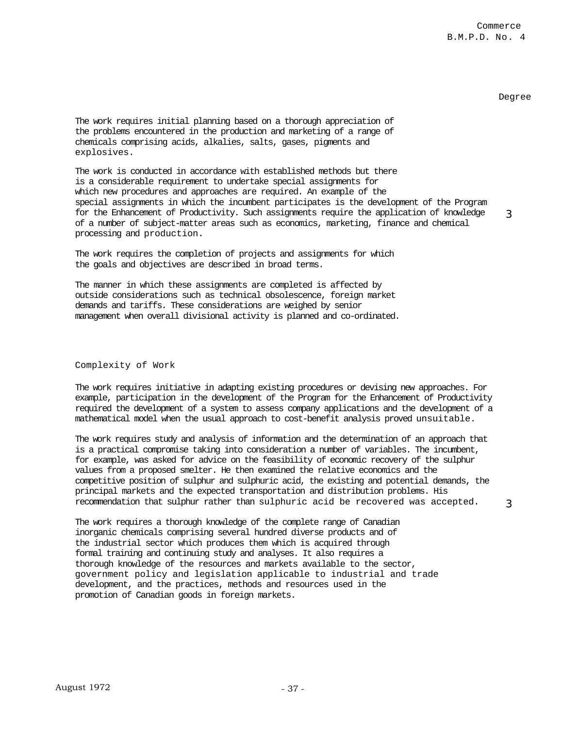3

The work requires initial planning based on a thorough appreciation of the problems encountered in the production and marketing of a range of chemicals comprising acids, alkalies, salts, gases, pigments and explosives.

The work is conducted in accordance with established methods but there is a considerable requirement to undertake special assignments for which new procedures and approaches are required. An example of the special assignments in which the incumbent participates is the development of the Program for the Enhancement of Productivity. Such assignments require the application of knowledge of a number of subject-matter areas such as economics, marketing, finance and chemical processing and production. 3

The work requires the completion of projects and assignments for which the goals and objectives are described in broad terms.

The manner in which these assignments are completed is affected by outside considerations such as technical obsolescence, foreign market demands and tariffs. These considerations are weighed by senior management when overall divisional activity is planned and co-ordinated.

# Complexity of Work

The work requires initiative in adapting existing procedures or devising new approaches. For example, participation in the development of the Program for the Enhancement of Productivity required the development of a system to assess company applications and the development of a mathematical model when the usual approach to cost-benefit analysis proved unsuitable.

The work requires study and analysis of information and the determination of an approach that is a practical compromise taking into consideration a number of variables. The incumbent, for example, was asked for advice on the feasibility of economic recovery of the sulphur values from a proposed smelter. He then examined the relative economics and the competitive position of sulphur and sulphuric acid, the existing and potential demands, the principal markets and the expected transportation and distribution problems. His recommendation that sulphur rather than sulphuric acid be recovered was accepted.

The work requires a thorough knowledge of the complete range of Canadian inorganic chemicals comprising several hundred diverse products and of the industrial sector which produces them which is acquired through formal training and continuing study and analyses. It also requires a thorough knowledge of the resources and markets available to the sector, government policy and legislation applicable to industrial and trade development, and the practices, methods and resources used in the promotion of Canadian goods in foreign markets.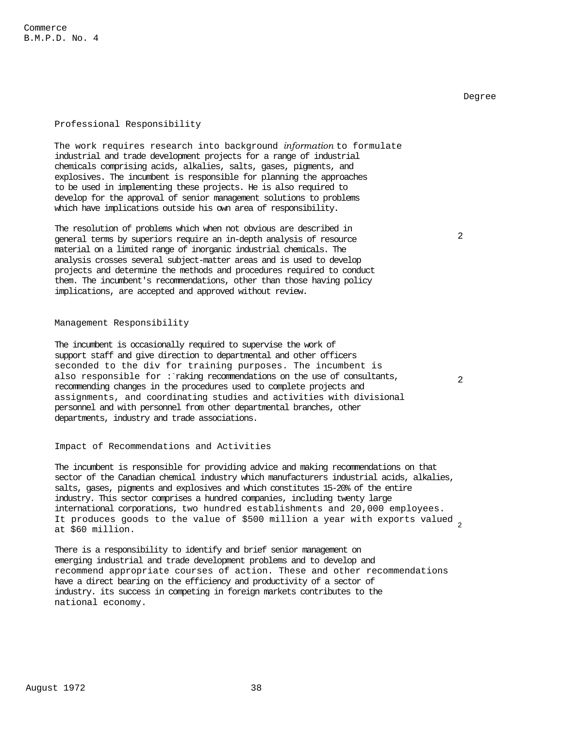# Professional Responsibility

The work requires research into background *information* to formulate industrial and trade development projects for a range of industrial chemicals comprising acids, alkalies, salts, gases, pigments, and explosives. The incumbent is responsible for planning the approaches to be used in implementing these projects. He is also required to develop for the approval of senior management solutions to problems which have implications outside his own area of responsibility.

The resolution of problems which when not obvious are described in general terms by superiors require an in-depth analysis of resource material on a limited range of inorganic industrial chemicals. The analysis crosses several subject-matter areas and is used to develop projects and determine the methods and procedures required to conduct them. The incumbent's recommendations, other than those having policy implications, are accepted and approved without review.

# Management Responsibility

The incumbent is occasionally required to supervise the work of support staff and give direction to departmental and other officers seconded to the div for training purposes. The incumbent is also responsible for : raking recommendations on the use of consultants, recommending changes in the procedures used to complete projects and assignments, and coordinating studies and activities with divisional personnel and with personnel from other departmental branches, other departments, industry and trade associations.

# Impact of Recommendations and Activities

The incumbent is responsible for providing advice and making recommendations on that sector of the Canadian chemical industry which manufacturers industrial acids, alkalies, salts, gases, pigments and explosives and which constitutes 15-20% of the entire industry. This sector comprises a hundred companies, including twenty large international corporations, two hundred establishments and 20,000 employees. It produces goods to the value of \$500 million a year with exports valued 2 at \$60 million.

There is a responsibility to identify and brief senior management on emerging industrial and trade development problems and to develop and recommend appropriate courses of action. These and other recommendations have a direct bearing on the efficiency and productivity of a sector of industry. its success in competing in foreign markets contributes to the national economy.

 $\mathcal{D}$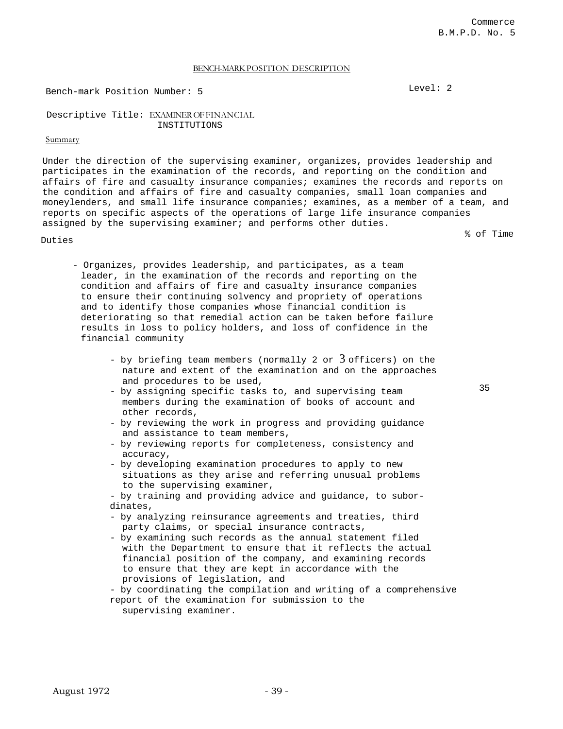### BENCH-MARK POSITION DESCRIPTION

Bench-mark Position Number: 5 Level: 2

# Descriptive Title: EXAMINER OF FINANCIAL INSTITUTIONS

# Summary

Under the direction of the supervising examiner, organizes, provides leadership and participates in the examination of the records, and reporting on the condition and affairs of fire and casualty insurance companies; examines the records and reports on the condition and affairs of fire and casualty companies, small loan companies and moneylenders, and small life insurance companies; examines, as a member of a team, and reports on specific aspects of the operations of large life insurance companies assigned by the supervising examiner; and performs other duties.

Duties

% of Time

- Organizes, provides leadership, and participates, as a team leader, in the examination of the records and reporting on the condition and affairs of fire and casualty insurance companies to ensure their continuing solvency and propriety of operations and to identify those companies whose financial condition is deteriorating so that remedial action can be taken before failure results in loss to policy holders, and loss of confidence in the financial community
	- by briefing team members (normally 2 or  $3$  officers) on the nature and extent of the examination and on the approaches and procedures to be used,
	- by assigning specific tasks to, and supervising team members during the examination of books of account and other records,
	- by reviewing the work in progress and providing guidance and assistance to team members,
	- by reviewing reports for completeness, consistency and accuracy,
	- by developing examination procedures to apply to new situations as they arise and referring unusual problems to the supervising examiner,

- by training and providing advice and guidance, to subordinates,

- by analyzing reinsurance agreements and treaties, third party claims, or special insurance contracts,
- by examining such records as the annual statement filed with the Department to ensure that it reflects the actual financial position of the company, and examining records to ensure that they are kept in accordance with the provisions of legislation, and
- by coordinating the compilation and writing of a comprehensive report of the examination for submission to the supervising examiner.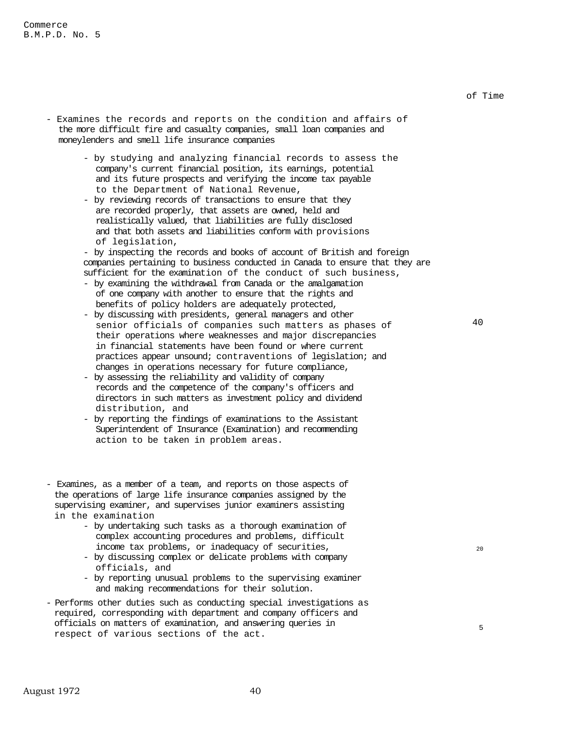- Examines the records and reports on the condition and affairs of the more difficult fire and casualty companies, small loan companies and moneylenders and smell life insurance companies
	- by studying and analyzing financial records to assess the company's current financial position, its earnings, potential and its future prospects and verifying the income tax payable to the Department of National Revenue,
	- by reviewing records of transactions to ensure that they are recorded properly, that assets are owned, held and realistically valued, that liabilities are fully disclosed and that both assets and liabilities conform with provisions of legislation,

- by inspecting the records and books of account of British and foreign companies pertaining to business conducted in Canada to ensure that they are sufficient for the examination of the conduct of such business,

- by examining the withdrawal from Canada or the amalgamation of one company with another to ensure that the rights and benefits of policy holders are adequately protected,
- by discussing with presidents, general managers and other senior officials of companies such matters as phases of their operations where weaknesses and major discrepancies in financial statements have been found or where current practices appear unsound; contraventions of legislation; and changes in operations necessary for future compliance,
- by assessing the reliability and validity of company records and the competence of the company's officers and directors in such matters as investment policy and dividend distribution, and
- by reporting the findings of examinations to the Assistant Superintendent of Insurance (Examination) and recommending action to be taken in problem areas.
- Examines, as a member of a team, and reports on those aspects of the operations of large life insurance companies assigned by the supervising examiner, and supervises junior examiners assisting in the examination
	- by undertaking such tasks as a thorough examination of complex accounting procedures and problems, difficult income tax problems, or inadequacy of securities,
	- by discussing complex or delicate problems with company officials, and
	- by reporting unusual problems to the supervising examiner and making recommendations for their solution.
- Performs other duties such as conducting special investigations as required, corresponding with department and company officers and officials on matters of examination, and answering queries in respect of various sections of the act.

of Time

20

5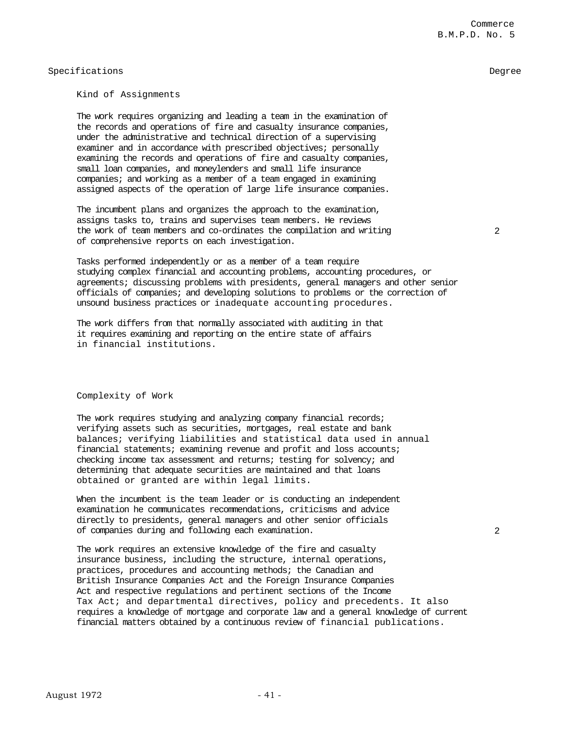# Specifications Degree

# Kind of Assignments

The work requires organizing and leading a team in the examination of the records and operations of fire and casualty insurance companies, under the administrative and technical direction of a supervising examiner and in accordance with prescribed objectives; personally examining the records and operations of fire and casualty companies, small loan companies, and moneylenders and small life insurance companies; and working as a member of a team engaged in examining assigned aspects of the operation of large life insurance companies.

The incumbent plans and organizes the approach to the examination, assigns tasks to, trains and supervises team members. He reviews the work of team members and co-ordinates the compilation and writing of comprehensive reports on each investigation.

 $\mathcal{D}$ 

Commerce

B.M.P.D. No. 5

Tasks performed independently or as a member of a team require studying complex financial and accounting problems, accounting procedures, or agreements; discussing problems with presidents, general managers and other senior officials of companies; and developing solutions to problems or the correction of unsound business practices or inadequate accounting procedures.

The work differs from that normally associated with auditing in that it requires examining and reporting on the entire state of affairs in financial institutions.

# Complexity of Work

The work requires studying and analyzing company financial records; verifying assets such as securities, mortgages, real estate and bank balances; verifying liabilities and statistical data used in annual financial statements; examining revenue and profit and loss accounts; checking income tax assessment and returns; testing for solvency; and determining that adequate securities are maintained and that loans obtained or granted are within legal limits.

When the incumbent is the team leader or is conducting an independent examination he communicates recommendations, criticisms and advice directly to presidents, general managers and other senior officials of companies during and following each examination.

The work requires an extensive knowledge of the fire and casualty insurance business, including the structure, internal operations, practices, procedures and accounting methods; the Canadian and British Insurance Companies Act and the Foreign Insurance Companies Act and respective regulations and pertinent sections of the Income Tax Act; and departmental directives, policy and precedents. It also requires a knowledge of mortgage and corporate law and a general knowledge of current financial matters obtained by a continuous review of financial publications.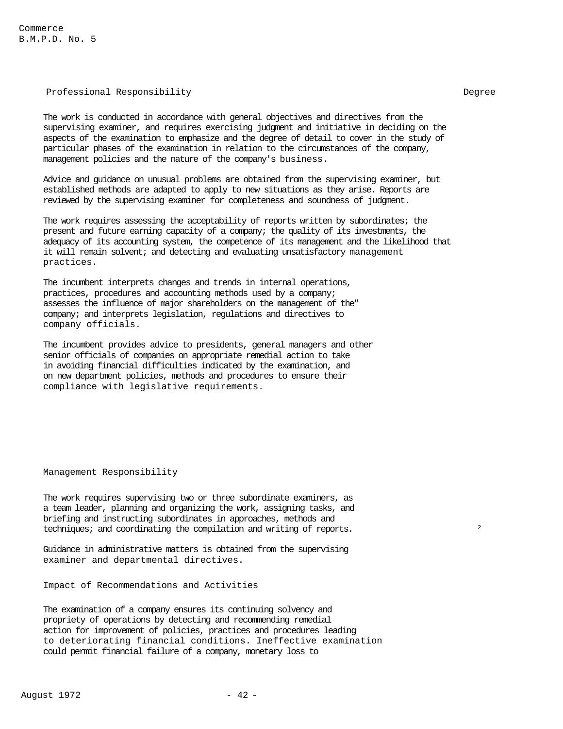Commerce B.M.P.D. No. 5

# Professional Responsibility and the contract of the Degree

The work is conducted in accordance with general objectives and directives from the supervising examiner, and requires exercising judgment and initiative in deciding on the aspects of the examination to emphasize and the degree of detail to cover in the study of particular phases of the examination in relation to the circumstances of the company, management policies and the nature of the company's business.

Advice and guidance on unusual problems are obtained from the supervising examiner, but established methods are adapted to apply to new situations as they arise. Reports are reviewed by the supervising examiner for completeness and soundness of judgment.

The work requires assessing the acceptability of reports written by subordinates; the present and future earning capacity of a company; the quality of its investments, the adequacy of its accounting system, the competence of its management and the likelihood that it will remain solvent; and detecting and evaluating unsatisfactory management practices.

The incumbent interprets changes and trends in internal operations, practices, procedures and accounting methods used by a company; assesses the influence of major shareholders on the management of the" company; and interprets legislation, regulations and directives to company officials.

The incumbent provides advice to presidents, general managers and other senior officials of companies on appropriate remedial action to take in avoiding financial difficulties indicated by the examination, and on new department policies, methods and procedures to ensure their compliance with legislative requirements.

Management Responsibility

The work requires supervising two or three subordinate examiners, as a team leader, planning and organizing the work, assigning tasks, and briefing and instructing subordinates in approaches, methods and techniques; and coordinating the compilation and writing of reports.

Guidance in administrative matters is obtained from the supervising examiner and departmental directives.

Impact of Recommendations and Activities

The examination of a company ensures its continuing solvency and propriety of operations by detecting and recommending remedial action for improvement of policies, practices and procedures leading to deteriorating financial conditions. Ineffective examination could permit financial failure of a company, monetary loss to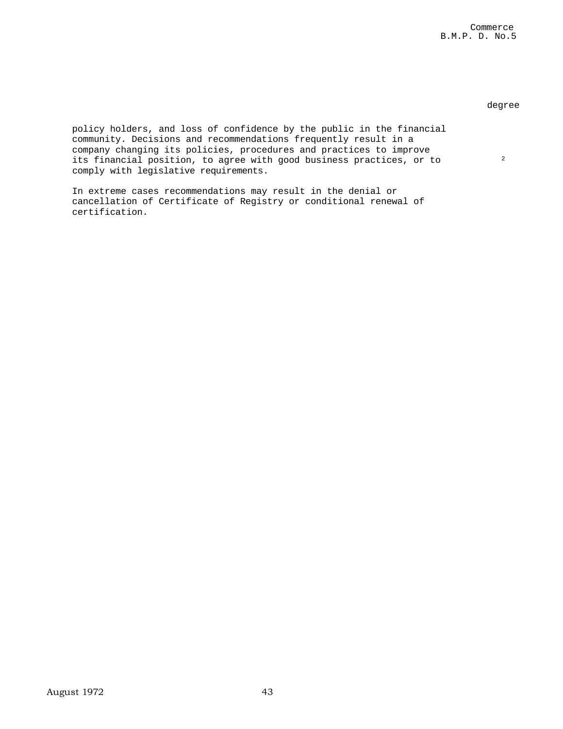# degree

2

policy holders, and loss of confidence by the public in the financial community. Decisions and recommendations frequently result in a company changing its policies, procedures and practices to improve its financial position, to agree with good business practices, or to comply with legislative requirements.

In extreme cases recommendations may result in the denial or cancellation of Certificate of Registry or conditional renewal of certification.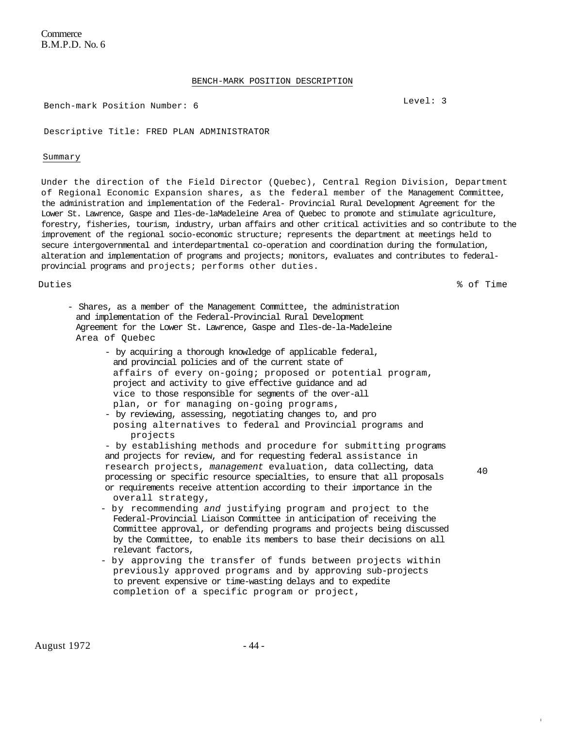**Commerce** B.M.P.D. No. 6

### BENCH-MARK POSITION DESCRIPTION

Bench-mark Position Number: 6 Level: 3

Descriptive Title: FRED PLAN ADMINISTRATOR

#### Summary

Under the direction of the Field Director (Quebec), Central Region Division, Department of Regional Economic Expansion shares, as the federal member of the Management Committee, the administration and implementation of the Federal- Provincial Rural Development Agreement for the Lower St. Lawrence, Gaspe and Iles-de-laMadeleine Area of Quebec to promote and stimulate agriculture, forestry, fisheries, tourism, industry, urban affairs and other critical activities and so contribute to the improvement of the regional socio-economic structure; represents the department at meetings held to secure intergovernmental and interdepartmental co-operation and coordination during the formulation, alteration and implementation of programs and projects; monitors, evaluates and contributes to federalprovincial programs and projects; performs other duties.

Duties % of Time

- Shares, as a member of the Management Committee, the administration and implementation of the Federal-Provincial Rural Development Agreement for the Lower St. Lawrence, Gaspe and Iles-de-la-Madeleine Area of Quebec
	- by acquiring a thorough knowledge of applicable federal, and provincial policies and of the current state of affairs of every on-going; proposed or potential program, project and activity to give effective guidance and ad vice to those responsible for segments of the over-all plan, or for managing on-going programs,
	- by reviewing, assessing, negotiating changes to, and pro posing alternatives to federal and Provincial programs and projects

- by establishing methods and procedure for submitting programs and projects for review, and for requesting federal assistance in research projects, *management* evaluation, data collecting, data processing or specific resource specialties, to ensure that all proposals or requirements receive attention according to their importance in the overall strategy,

40

I

- by recommending *and* justifying program and project to the Federal-Provincial Liaison Committee in anticipation of receiving the Committee approval, or defending programs and projects being discussed by the Committee, to enable its members to base their decisions on all relevant factors,
- by approving the transfer of funds between projects within previously approved programs and by approving sub-projects to prevent expensive or time-wasting delays and to expedite completion of a specific program or project,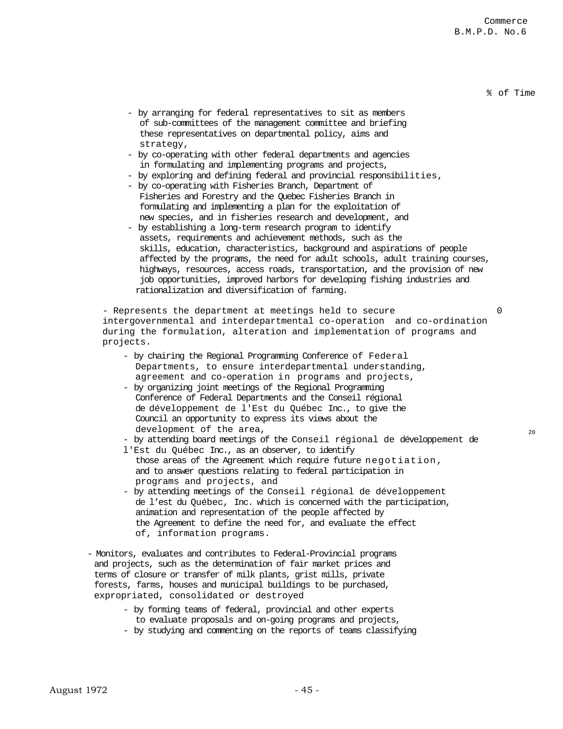### % of Time

20

- by arranging for federal representatives to sit as members of sub-committees of the management committee and briefing these representatives on departmental policy, aims and strategy,
- by co-operating with other federal departments and agencies in formulating and implementing programs and projects,
- by exploring and defining federal and provincial responsibilities,
- by co-operating with Fisheries Branch, Department of Fisheries and Forestry and the Quebec Fisheries Branch in formulating and implementing a plan for the exploitation of new species, and in fisheries research and development, and
- by establishing a long-term research program to identify assets, requirements and achievement methods, such as the skills, education, characteristics, background and aspirations of people affected by the programs, the need for adult schools, adult training courses, highways, resources, access roads, transportation, and the provision of new job opportunities, improved harbors for developing fishing industries and rationalization and diversification of farming.

- Represents the department at meetings held to secure intergovernmental and interdepartmental co-operation and co-ordination during the formulation, alteration and implementation of programs and projects.  $\Omega$ 

- by chairing the Regional Programming Conference of Federal Departments, to ensure interdepartmental understanding, agreement and co-operation in programs and projects,
- by organizing joint meetings of the Regional Programming Conference of Federal Departments and the Conseil régional de développement de l'Est du Québec Inc., to give the Council an opportunity to express its views about the development of the area,

- by attending board meetings of the Conseil régional de développement de

- l'Est du Québec Inc., as an observer, to identify those areas of the Agreement which require future negotiation, and to answer questions relating to federal participation in programs and projects, and
- by attending meetings of the Conseil régional de développement de l'est du Québec, Inc. which is concerned with the participation, animation and representation of the people affected by the Agreement to define the need for, and evaluate the effect of, information programs.
- Monitors, evaluates and contributes to Federal-Provincial programs and projects, such as the determination of fair market prices and terms of closure or transfer of milk plants, grist mills, private forests, farms, houses and municipal buildings to be purchased, expropriated, consolidated or destroyed
	- by forming teams of federal, provincial and other experts to evaluate proposals and on-going programs and projects,
	- by studying and commenting on the reports of teams classifying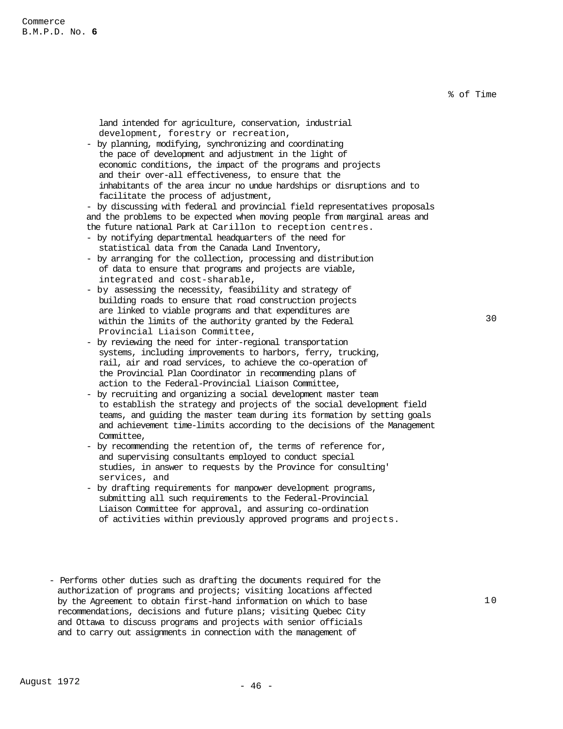% of Time

land intended for agriculture, conservation, industrial development, forestry or recreation,

- by planning, modifying, synchronizing and coordinating the pace of development and adjustment in the light of economic conditions, the impact of the programs and projects and their over-all effectiveness, to ensure that the inhabitants of the area incur no undue hardships or disruptions and to facilitate the process of adjustment,

- by discussing with federal and provincial field representatives proposals and the problems to be expected when moving people from marginal areas and the future national Park at Carillon to reception centres.

- by notifying departmental headquarters of the need for statistical data from the Canada Land Inventory,
- by arranging for the collection, processing and distribution of data to ensure that programs and projects are viable, integrated and cost-sharable,
- by assessing the necessity, feasibility and strategy of building roads to ensure that road construction projects are linked to viable programs and that expenditures are within the limits of the authority granted by the Federal Provincial Liaison Committee,
- by reviewing the need for inter-regional transportation systems, including improvements to harbors, ferry, trucking, rail, air and road services, to achieve the co-operation of the Provincial Plan Coordinator in recommending plans of action to the Federal-Provincial Liaison Committee,
- by recruiting and organizing a social development master team to establish the strategy and projects of the social development field teams, and guiding the master team during its formation by setting goals and achievement time-limits according to the decisions of the Management Committee,
- by recommending the retention of, the terms of reference for, and supervising consultants employed to conduct special studies, in answer to requests by the Province for consulting' services, and
- by drafting requirements for manpower development programs, submitting all such requirements to the Federal-Provincial Liaison Committee for approval, and assuring co-ordination of activities within previously approved programs and projects.
- Performs other duties such as drafting the documents required for the authorization of programs and projects; visiting locations affected by the Agreement to obtain first-hand information on which to base recommendations, decisions and future plans; visiting Quebec City and Ottawa to discuss programs and projects with senior officials and to carry out assignments in connection with the management of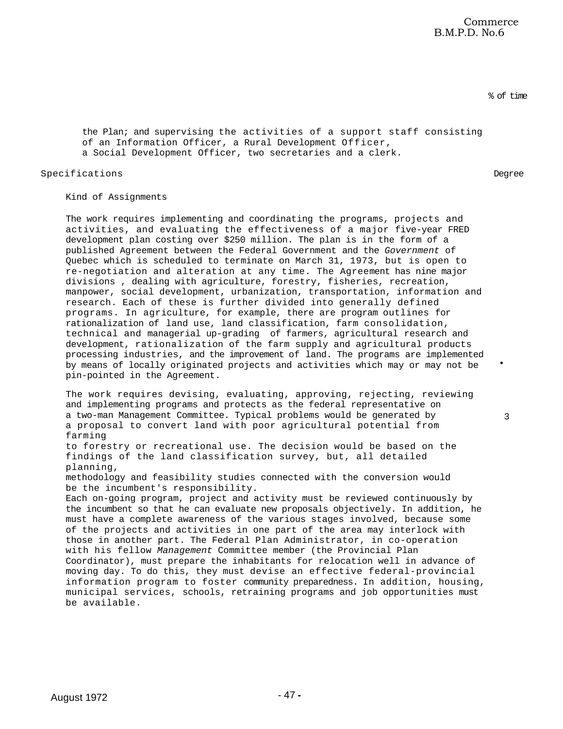% of time

the Plan; and supervising the activities of a support staff consisting of an Information Officer, a Rural Development Officer, a Social Development Officer, two secretaries and a clerk.

Specifications Degree

•

3

Kind of Assignments

The work requires implementing and coordinating the programs, projects and activities, and evaluating the effectiveness of a major five-year FRED development plan costing over \$250 million. The plan is in the form of a published Agreement between the Federal Government and the *Government* of Quebec which is scheduled to terminate on March 31, 1973, but is open to re-negotiation and alteration at any time. The Agreement has nine major divisions , dealing with agriculture, forestry, fisheries, recreation, manpower, social development, urbanization, transportation, information and research. Each of these is further divided into generally defined programs. In agriculture, for example, there are program outlines for rationalization of land use, land classification, farm consolidation, technical and managerial up-grading of farmers, agricultural research and development, rationalization of the farm supply and agricultural products processing industries, and the improvement of land. The programs are implemented by means of locally originated projects and activities which may or may not be pin-pointed in the Agreement.

The work requires devising, evaluating, approving, rejecting, reviewing and implementing programs and protects as the federal representative on a two-man Management Committee. Typical problems would be generated by a proposal to convert land with poor agricultural potential from farming

to forestry or recreational use. The decision would be based on the findings of the land classification survey, but, all detailed planning,

methodology and feasibility studies connected with the conversion would be the incumbent's responsibility.

Each on-going program, project and activity must be reviewed continuously by the incumbent so that he can evaluate new proposals objectively. In addition, he must have a complete awareness of the various stages involved, because some of the projects and activities in one part of the area may interlock with those in another part. The Federal Plan Administrator, in co-operation with his fellow *Management* Committee member (the Provincial Plan Coordinator), must prepare the inhabitants for relocation well in advance of moving day. To do this, they must devise an effective federal-provincial information program to foster community preparedness. In addition, housing, municipal services, schools, retraining programs and job opportunities must be available.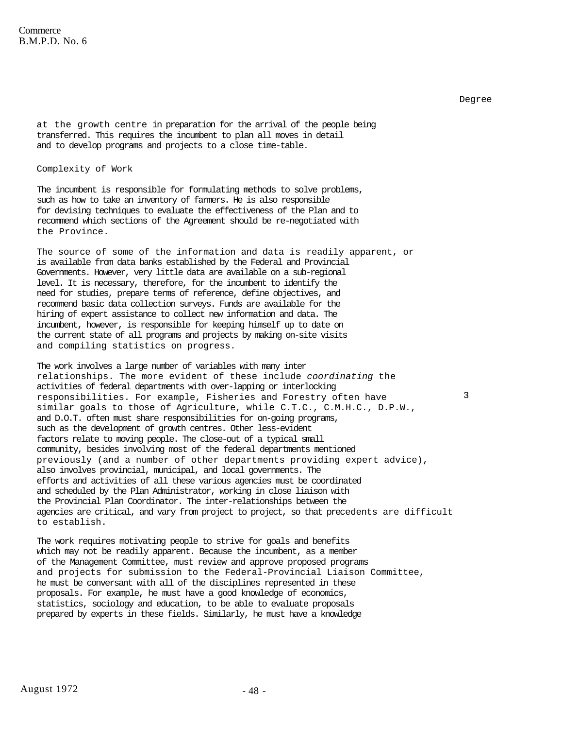3

at the growth centre in preparation for the arrival of the people being transferred. This requires the incumbent to plan all moves in detail and to develop programs and projects to a close time-table.

Complexity of Work

The incumbent is responsible for formulating methods to solve problems, such as how to take an inventory of farmers. He is also responsible for devising techniques to evaluate the effectiveness of the Plan and to recommend which sections of the Agreement should be re-negotiated with the Province.

The source of some of the information and data is readily apparent, or is available from data banks established by the Federal and Provincial Governments. However, very little data are available on a sub-regional level. It is necessary, therefore, for the incumbent to identify the need for studies, prepare terms of reference, define objectives, and recommend basic data collection surveys. Funds are available for the hiring of expert assistance to collect new information and data. The incumbent, however, is responsible for keeping himself up to date on the current state of all programs and projects by making on-site visits and compiling statistics on progress.

The work involves a large number of variables with many inter relationships. The more evident of these include *coordinating* the activities of federal departments with over-lapping or interlocking responsibilities. For example, Fisheries and Forestry often have similar goals to those of Agriculture, while C.T.C., C.M.H.C., D.P.W., and D.O.T. often must share responsibilities for on-going programs, such as the development of growth centres. Other less-evident factors relate to moving people. The close-out of a typical small community, besides involving most of the federal departments mentioned previously (and a number of other departments providing expert advice), also involves provincial, municipal, and local governments. The efforts and activities of all these various agencies must be coordinated and scheduled by the Plan Administrator, working in close liaison with the Provincial Plan Coordinator. The inter-relationships between the agencies are critical, and vary from project to project, so that precedents are difficult to establish.

The work requires motivating people to strive for goals and benefits which may not be readily apparent. Because the incumbent, as a member of the Management Committee, must review and approve proposed programs and projects for submission to the Federal-Provincial Liaison Committee, he must be conversant with all of the disciplines represented in these proposals. For example, he must have a good knowledge of economics, statistics, sociology and education, to be able to evaluate proposals prepared by experts in these fields. Similarly, he must have a knowledge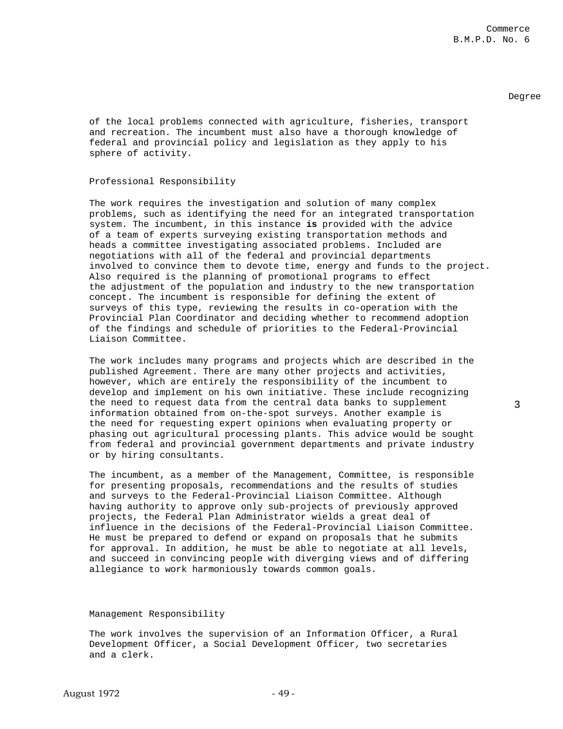3

of the local problems connected with agriculture, fisheries, transport and recreation. The incumbent must also have a thorough knowledge of federal and provincial policy and legislation as they apply to his sphere of activity.

### Professional Responsibility

The work requires the investigation and solution of many complex problems, such as identifying the need for an integrated transportation system. The incumbent, in this instance **is** provided with the advice of a team of experts surveying existing transportation methods and heads a committee investigating associated problems. Included are negotiations with all of the federal and provincial departments involved to convince them to devote time, energy and funds to the project. Also required is the planning of promotional programs to effect the adjustment of the population and industry to the new transportation concept. The incumbent is responsible for defining the extent of surveys of this type, reviewing the results in co-operation with the Provincial Plan Coordinator and deciding whether to recommend adoption of the findings and schedule of priorities to the Federal-Provincial Liaison Committee.

The work includes many programs and projects which are described in the published Agreement. There are many other projects and activities, however, which are entirely the responsibility of the incumbent to develop and implement on his own initiative. These include recognizing the need to request data from the central data banks to supplement information obtained from on-the-spot surveys. Another example is the need for requesting expert opinions when evaluating property or phasing out agricultural processing plants. This advice would be sought from federal and provincial government departments and private industry or by hiring consultants.

The incumbent, as a member of the Management, Committee, is responsible for presenting proposals, recommendations and the results of studies and surveys to the Federal-Provincial Liaison Committee. Although having authority to approve only sub-projects of previously approved projects, the Federal Plan Administrator wields a great deal of influence in the decisions of the Federal-Provincial Liaison Committee. He must be prepared to defend or expand on proposals that he submits for approval. In addition, he must be able to negotiate at all levels, and succeed in convincing people with diverging views and of differing allegiance to work harmoniously towards common goals.

### Management Responsibility

The work involves the supervision of an Information Officer, a Rural Development Officer, a Social Development Officer, two secretaries and a clerk.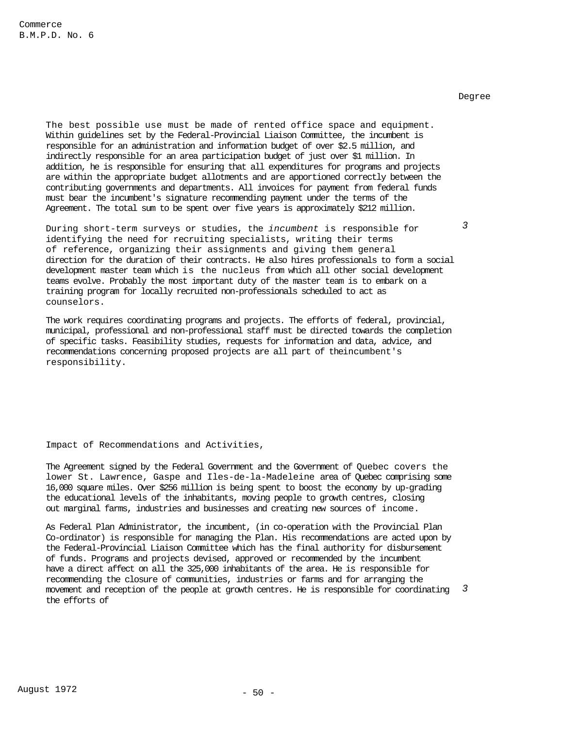*3* 

The best possible use must be made of rented office space and equipment. Within guidelines set by the Federal-Provincial Liaison Committee, the incumbent is responsible for an administration and information budget of over \$2.5 million, and indirectly responsible for an area participation budget of just over \$1 million. In addition, he is responsible for ensuring that all expenditures for programs and projects are within the appropriate budget allotments and are apportioned correctly between the contributing governments and departments. All invoices for payment from federal funds must bear the incumbent's signature recommending payment under the terms of the Agreement. The total sum to be spent over five years is approximately \$212 million.

During short-term surveys or studies, the *incumbent* is responsible for identifying the need for recruiting specialists, writing their terms of reference, organizing their assignments and giving them general direction for the duration of their contracts. He also hires professionals to form a social development master team which is the nucleus from which all other social development teams evolve. Probably the most important duty of the master team is to embark on a training program for locally recruited non-professionals scheduled to act as counselors.

The work requires coordinating programs and projects. The efforts of federal, provincial, municipal, professional and non-professional staff must be directed towards the completion of specific tasks. Feasibility studies, requests for information and data, advice, and recommendations concerning proposed projects are all part of theincumbent's responsibility.

Impact of Recommendations and Activities,

The Agreement signed by the Federal Government and the Government of Quebec covers the lower St. Lawrence, Gaspe and Iles-de-la-Madeleine area of Quebec comprising some 16,000 square miles. Over \$256 million is being spent to boost the economy by up-grading the educational levels of the inhabitants, moving people to growth centres, closing out marginal farms, industries and businesses and creating new sources of income.

As Federal Plan Administrator, the incumbent, (in co-operation with the Provincial Plan Co-ordinator) is responsible for managing the Plan. His recommendations are acted upon by the Federal-Provincial Liaison Committee which has the final authority for disbursement of funds. Programs and projects devised, approved or recommended by the incumbent have a direct affect on all the 325,000 inhabitants of the area. He is responsible for recommending the closure of communities, industries or farms and for arranging the movement and reception of the people at growth centres. He is responsible for coordinating the efforts of *3*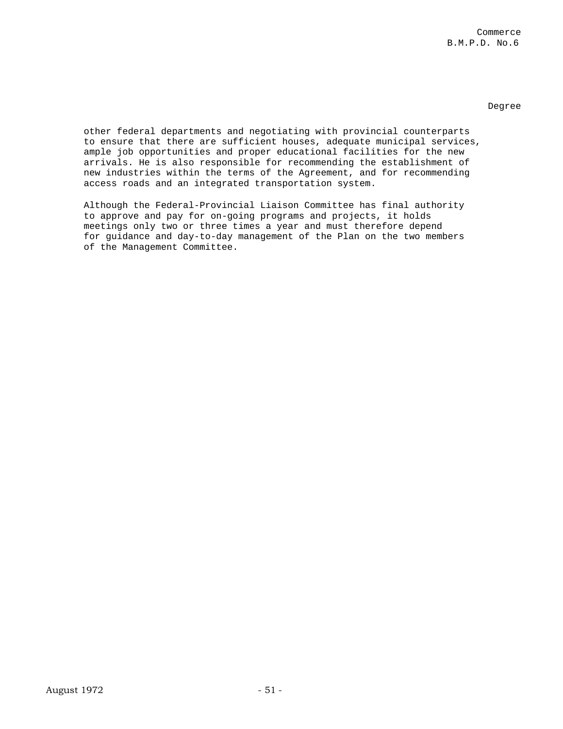other federal departments and negotiating with provincial counterparts to ensure that there are sufficient houses, adequate municipal services, ample job opportunities and proper educational facilities for the new arrivals. He is also responsible for recommending the establishment of new industries within the terms of the Agreement, and for recommending access roads and an integrated transportation system.

Although the Federal-Provincial Liaison Committee has final authority to approve and pay for on-going programs and projects, it holds meetings only two or three times a year and must therefore depend for guidance and day-to-day management of the Plan on the two members of the Management Committee.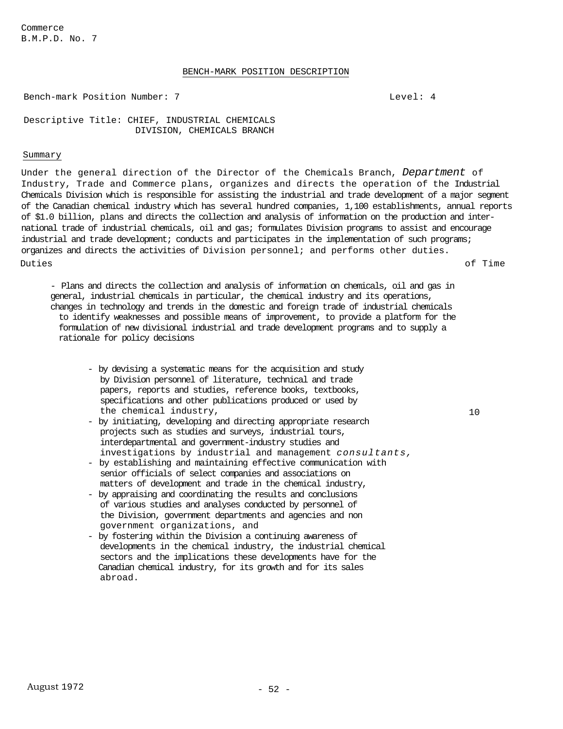Commerce B.M.P.D. No. 7

# BENCH-MARK POSITION DESCRIPTION

Bench-mark Position Number: 7 Level: 4

Descriptive Title: CHIEF, INDUSTRIAL CHEMICALS DIVISION, CHEMICALS BRANCH

# Summary

Under the general direction of the Director of the Chemicals Branch, *Department* of Industry, Trade and Commerce plans, organizes and directs the operation of the Industrial Chemicals Division which is responsible for assisting the industrial and trade development of a major segment of the Canadian chemical industry which has several hundred companies, 1,100 establishments, annual reports of \$1.0 billion, plans and directs the collection and analysis of information on the production and international trade of industrial chemicals, oil and gas; formulates Division programs to assist and encourage industrial and trade development; conducts and participates in the implementation of such programs; organizes and directs the activities of Division personnel; and performs other duties. Duties of Time

- Plans and directs the collection and analysis of information on chemicals, oil and gas in general, industrial chemicals in particular, the chemical industry and its operations, changes in technology and trends in the domestic and foreign trade of industrial chemicals to identify weaknesses and possible means of improvement, to provide a platform for the formulation of new divisional industrial and trade development programs and to supply a rationale for policy decisions

- by devising a systematic means for the acquisition and study by Division personnel of literature, technical and trade papers, reports and studies, reference books, textbooks, specifications and other publications produced or used by the chemical industry,
- by initiating, developing and directing appropriate research projects such as studies and surveys, industrial tours, interdepartmental and government-industry studies and investigations by industrial and management *consultants,*
- by establishing and maintaining effective communication with senior officials of select companies and associations on matters of development and trade in the chemical industry,
- by appraising and coordinating the results and conclusions of various studies and analyses conducted by personnel of the Division, government departments and agencies and non government organizations, and
- by fostering within the Division a continuing awareness of developments in the chemical industry, the industrial chemical sectors and the implications these developments have for the Canadian chemical industry, for its growth and for its sales abroad.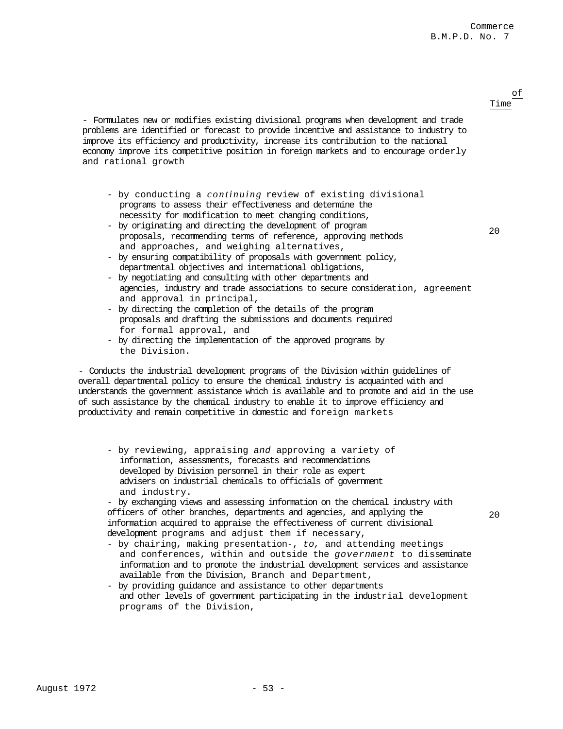### of Time

20

20

- Formulates new or modifies existing divisional programs when development and trade problems are identified or forecast to provide incentive and assistance to industry to improve its efficiency and productivity, increase its contribution to the national economy improve its competitive position in foreign markets and to encourage orderly and rational growth

- by conducting a *continuing* review of existing divisional programs to assess their effectiveness and determine the necessity for modification to meet changing conditions,
- by originating and directing the development of program proposals, recommending terms of reference, approving methods and approaches, and weighing alternatives,
- by ensuring compatibility of proposals with government policy, departmental objectives and international obligations,
- by negotiating and consulting with other departments and agencies, industry and trade associations to secure consideration, agreement and approval in principal,
- by directing the completion of the details of the program proposals and drafting the submissions and documents required for formal approval, and
- by directing the implementation of the approved programs by the Division.

- Conducts the industrial development programs of the Division within guidelines of overall departmental policy to ensure the chemical industry is acquainted with and understands the government assistance which is available and to promote and aid in the use of such assistance by the chemical industry to enable it to improve efficiency and productivity and remain competitive in domestic and foreign markets

- by reviewing, appraising *and* approving a variety of information, assessments, forecasts and recommendations developed by Division personnel in their role as expert advisers on industrial chemicals to officials of government and industry.

- by exchanging views and assessing information on the chemical industry with officers of other branches, departments and agencies, and applying the information acquired to appraise the effectiveness of current divisional development programs and adjust them if necessary,

- by chairing, making presentation-, *to,* and attending meetings and conferences, within and outside the *government* to disseminate information and to promote the industrial development services and assistance available from the Division, Branch and Department,
- by providing guidance and assistance to other departments and other levels of government participating in the industrial development programs of the Division,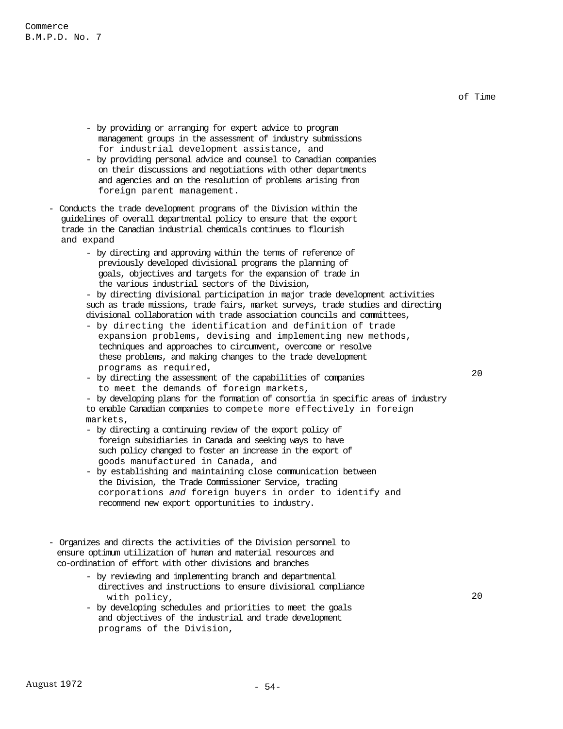of Time

- by providing or arranging for expert advice to program management groups in the assessment of industry submissions for industrial development assistance, and
- by providing personal advice and counsel to Canadian companies on their discussions and negotiations with other departments and agencies and on the resolution of problems arising from foreign parent management.
- Conducts the trade development programs of the Division within the guidelines of overall departmental policy to ensure that the export trade in the Canadian industrial chemicals continues to flourish and expand
	- by directing and approving within the terms of reference of previously developed divisional programs the planning of goals, objectives and targets for the expansion of trade in the various industrial sectors of the Division,

- by directing divisional participation in major trade development activities such as trade missions, trade fairs, market surveys, trade studies and directing divisional collaboration with trade association councils and committees,

- by directing the identification and definition of trade expansion problems, devising and implementing new methods, techniques and approaches to circumvent, overcome or resolve these problems, and making changes to the trade development programs as required,
- by directing the assessment of the capabilities of companies to meet the demands of foreign markets,
- by developing plans for the formation of consortia in specific areas of industry to enable Canadian companies to compete more effectively in foreign markets,
- by directing a continuing review of the export policy of foreign subsidiaries in Canada and seeking ways to have such policy changed to foster an increase in the export of goods manufactured in Canada, and
- by establishing and maintaining close communication between the Division, the Trade Commissioner Service, trading corporations *and* foreign buyers in order to identify and recommend new export opportunities to industry.
- Organizes and directs the activities of the Division personnel to ensure optimum utilization of human and material resources and co-ordination of effort with other divisions and branches
	- by reviewing and implementing branch and departmental directives and instructions to ensure divisional compliance with policy,
	- by developing schedules and priorities to meet the goals and objectives of the industrial and trade development programs of the Division,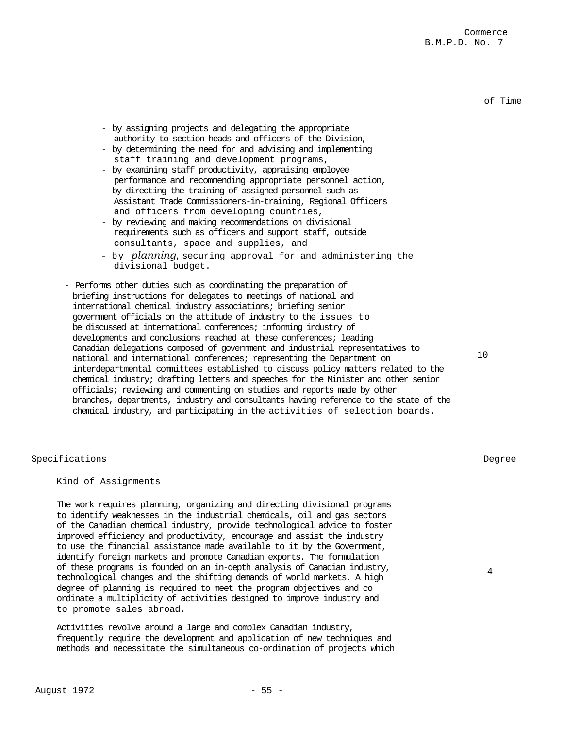of Time

- by assigning projects and delegating the appropriate authority to section heads and officers of the Division,
- by determining the need for and advising and implementing staff training and development programs,
- by examining staff productivity, appraising employee performance and recommending appropriate personnel action,
- by directing the training of assigned personnel such as Assistant Trade Commissioners-in-training, Regional Officers and officers from developing countries,
- by reviewing and making recommendations on divisional requirements such as officers and support staff, outside consultants, space and supplies, and
- by *planning,* securing approval for and administering the divisional budget.
- Performs other duties such as coordinating the preparation of briefing instructions for delegates to meetings of national and international chemical industry associations; briefing senior government officials on the attitude of industry to the issues to be discussed at international conferences; informing industry of developments and conclusions reached at these conferences; leading Canadian delegations composed of government and industrial representatives to national and international conferences; representing the Department on interdepartmental committees established to discuss policy matters related to the chemical industry; drafting letters and speeches for the Minister and other senior officials; reviewing and commenting on studies and reports made by other branches, departments, industry and consultants having reference to the state of the chemical industry, and participating in the activities of selection boards.

# Specifications Degree

# Kind of Assignments

The work requires planning, organizing and directing divisional programs to identify weaknesses in the industrial chemicals, oil and gas sectors of the Canadian chemical industry, provide technological advice to foster improved efficiency and productivity, encourage and assist the industry to use the financial assistance made available to it by the Government, identify foreign markets and promote Canadian exports. The formulation of these programs is founded on an in-depth analysis of Canadian industry, technological changes and the shifting demands of world markets. A high degree of planning is required to meet the program objectives and co ordinate a multiplicity of activities designed to improve industry and to promote sales abroad.

Activities revolve around a large and complex Canadian industry, frequently require the development and application of new techniques and methods and necessitate the simultaneous co-ordination of projects which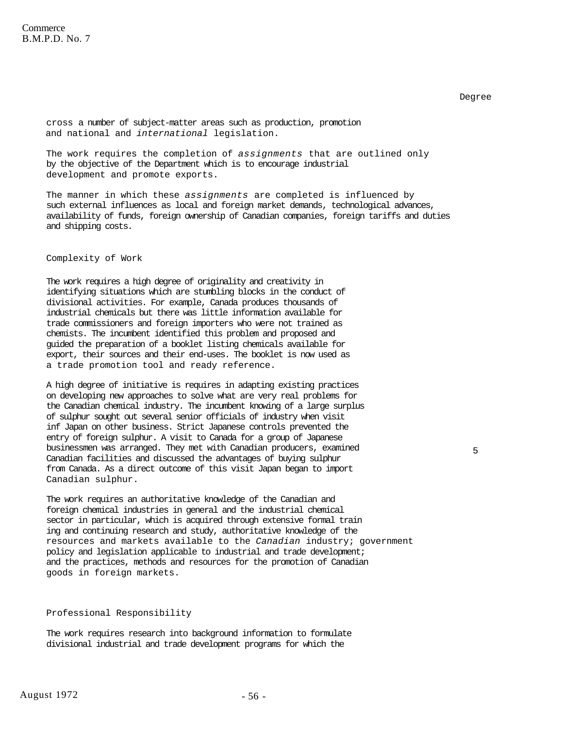5

cross a number of subject-matter areas such as production, promotion and national and *international* legislation.

The work requires the completion of *assignments* that are outlined only by the objective of the Department which is to encourage industrial development and promote exports.

The manner in which these *assignments* are completed is influenced by such external influences as local and foreign market demands, technological advances, availability of funds, foreign ownership of Canadian companies, foreign tariffs and duties and shipping costs.

# Complexity of Work

The work requires a high degree of originality and creativity in identifying situations which are stumbling blocks in the conduct of divisional activities. For example, Canada produces thousands of industrial chemicals but there was little information available for trade commissioners and foreign importers who were not trained as chemists. The incumbent identified this problem and proposed and guided the preparation of a booklet listing chemicals available for export, their sources and their end-uses. The booklet is now used as a trade promotion tool and ready reference.

A high degree of initiative is requires in adapting existing practices on developing new approaches to solve what are very real problems for the Canadian chemical industry. The incumbent knowing of a large surplus of sulphur sought out several senior officials of industry when visit inf Japan on other business. Strict Japanese controls prevented the entry of foreign sulphur. A visit to Canada for a group of Japanese businessmen was arranged. They met with Canadian producers, examined Canadian facilities and discussed the advantages of buying sulphur from Canada. As a direct outcome of this visit Japan began to import Canadian sulphur.

The work requires an authoritative knowledge of the Canadian and foreign chemical industries in general and the industrial chemical sector in particular, which is acquired through extensive formal train ing and continuing research and study, authoritative knowledge of the resources and markets available to the *Canadian* industry; government policy and legislation applicable to industrial and trade development; and the practices, methods and resources for the promotion of Canadian goods in foreign markets.

# Professional Responsibility

The work requires research into background information to formulate divisional industrial and trade development programs for which the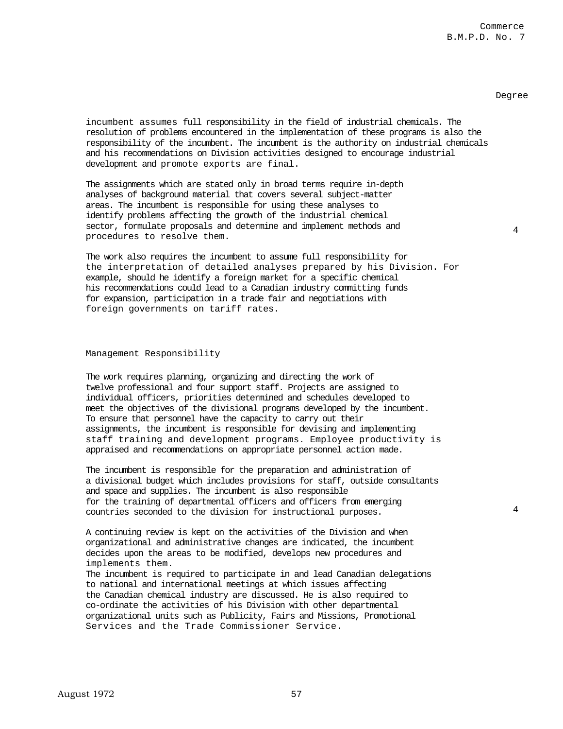4

4

incumbent assumes full responsibility in the field of industrial chemicals. The resolution of problems encountered in the implementation of these programs is also the responsibility of the incumbent. The incumbent is the authority on industrial chemicals and his recommendations on Division activities designed to encourage industrial development and promote exports are final.

The assignments which are stated only in broad terms require in-depth analyses of background material that covers several subject-matter areas. The incumbent is responsible for using these analyses to identify problems affecting the growth of the industrial chemical sector, formulate proposals and determine and implement methods and procedures to resolve them.

The work also requires the incumbent to assume full responsibility for the interpretation of detailed analyses prepared by his Division. For example, should he identify a foreign market for a specific chemical his recommendations could lead to a Canadian industry committing funds for expansion, participation in a trade fair and negotiations with foreign governments on tariff rates.

### Management Responsibility

The work requires planning, organizing and directing the work of twelve professional and four support staff. Projects are assigned to individual officers, priorities determined and schedules developed to meet the objectives of the divisional programs developed by the incumbent. To ensure that personnel have the capacity to carry out their assignments, the incumbent is responsible for devising and implementing staff training and development programs. Employee productivity is appraised and recommendations on appropriate personnel action made.

The incumbent is responsible for the preparation and administration of a divisional budget which includes provisions for staff, outside consultants and space and supplies. The incumbent is also responsible for the training of departmental officers and officers from emerging countries seconded to the division for instructional purposes.

A continuing review is kept on the activities of the Division and when organizational and administrative changes are indicated, the incumbent decides upon the areas to be modified, develops new procedures and implements them.

 The incumbent is required to participate in and lead Canadian delegations to national and international meetings at which issues affecting the Canadian chemical industry are discussed. He is also required to co-ordinate the activities of his Division with other departmental organizational units such as Publicity, Fairs and Missions, Promotional Services and the Trade Commissioner Service.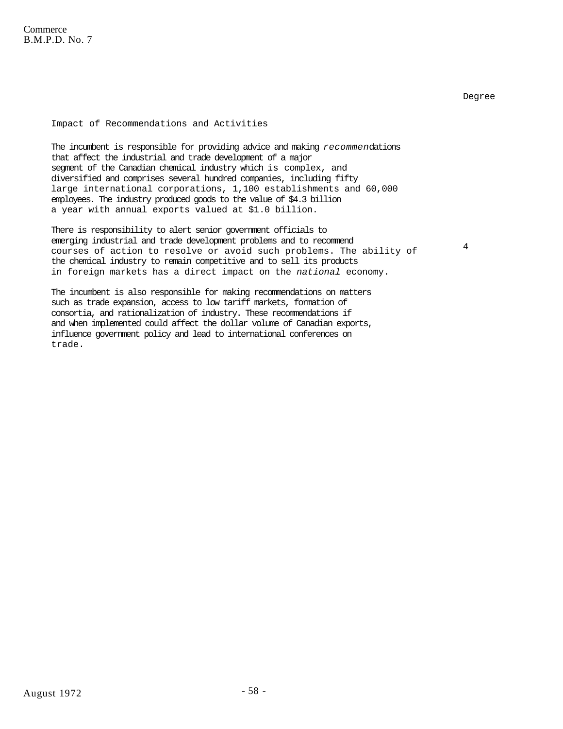# Impact of Recommendations and Activities

The incumbent is responsible for providing advice and making *recommen*dations that affect the industrial and trade development of a major segment of the Canadian chemical industry which is complex, and diversified and comprises several hundred companies, including fifty large international corporations, 1,100 establishments and 60,000 employees. The industry produced goods to the value of \$4.3 billion a year with annual exports valued at \$1.0 billion.

There is responsibility to alert senior government officials to emerging industrial and trade development problems and to recommend courses of action to resolve or avoid such problems. The ability of the chemical industry to remain competitive and to sell its products in foreign markets has a direct impact on the *national* economy.

4

The incumbent is also responsible for making recommendations on matters such as trade expansion, access to low tariff markets, formation of consortia, and rationalization of industry. These recommendations if and when implemented could affect the dollar volume of Canadian exports, influence government policy and lead to international conferences on trade.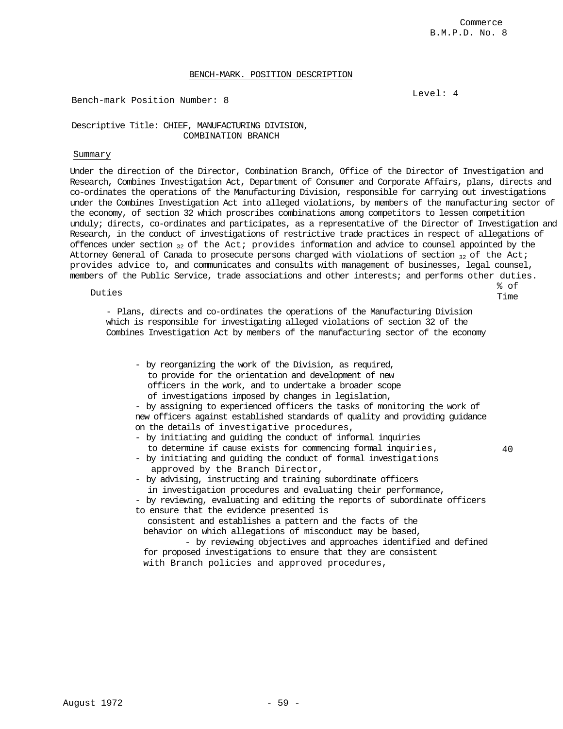% of Time

40

# BENCH-MARK. POSITION DESCRIPTION

Bench-mark Position Number: 8

Level: 4

# Descriptive Title: CHIEF, MANUFACTURING DIVISION, COMBINATION BRANCH

### Summary

Under the direction of the Director, Combination Branch, Office of the Director of Investigation and Research, Combines Investigation Act, Department of Consumer and Corporate Affairs, plans, directs and co-ordinates the operations of the Manufacturing Division, responsible for carrying out investigations under the Combines Investigation Act into alleged violations, by members of the manufacturing sector of the economy, of section 32 which proscribes combinations among competitors to lessen competition unduly; directs, co-ordinates and participates, as a representative of the Director of Investigation and Research, in the conduct of investigations of restrictive trade practices in respect of allegations of offences under section  $_{32}$  of the Act; provides information and advice to counsel appointed by the Attorney General of Canada to prosecute persons charged with violations of section  $32$  of the Act; provides advice to, and communicates and consults with management of businesses, legal counsel, members of the Public Service, trade associations and other interests; and performs other duties.

Duties

- Plans, directs and co-ordinates the operations of the Manufacturing Division which is responsible for investigating alleged violations of section 32 of the Combines Investigation Act by members of the manufacturing sector of the economy

- by reorganizing the work of the Division, as required, to provide for the orientation and development of new officers in the work, and to undertake a broader scope of investigations imposed by changes in legislation,

- by assigning to experienced officers the tasks of monitoring the work of new officers against established standards of quality and providing guidance on the details of investigative procedures,

- by initiating and guiding the conduct of informal inquiries
	- to determine if cause exists for commencing formal inquiries,
- by initiating and guiding the conduct of formal investigations approved by the Branch Director,
- by advising, instructing and training subordinate officers

in investigation procedures and evaluating their performance,

- by reviewing, evaluating and editing the reports of subordinate officers to ensure that the evidence presented is

consistent and establishes a pattern and the facts of the behavior on which allegations of misconduct may be based,

- by reviewing objectives and approaches identified and defined for proposed investigations to ensure that they are consistent

with Branch policies and approved procedures,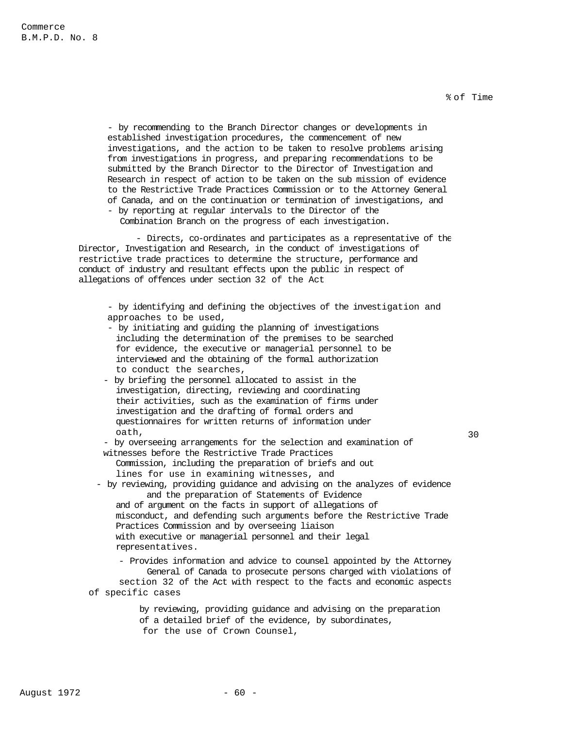% of Time

30

- by recommending to the Branch Director changes or developments in established investigation procedures, the commencement of new investigations, and the action to be taken to resolve problems arising from investigations in progress, and preparing recommendations to be submitted by the Branch Director to the Director of Investigation and Research in respect of action to be taken on the sub mission of evidence to the Restrictive Trade Practices Commission or to the Attorney General of Canada, and on the continuation or termination of investigations, and - by reporting at regular intervals to the Director of the

Combination Branch on the progress of each investigation.

- Directs, co-ordinates and participates as a representative of the Director, Investigation and Research, in the conduct of investigations of restrictive trade practices to determine the structure, performance and conduct of industry and resultant effects upon the public in respect of allegations of offences under section 32 of the Act

- by identifying and defining the objectives of the investigation and approaches to be used,

- by initiating and guiding the planning of investigations including the determination of the premises to be searched for evidence, the executive or managerial personnel to be interviewed and the obtaining of the formal authorization to conduct the searches,
- by briefing the personnel allocated to assist in the investigation, directing, reviewing and coordinating their activities, such as the examination of firms under investigation and the drafting of formal orders and questionnaires for written returns of information under oath,

- by overseeing arrangements for the selection and examination of witnesses before the Restrictive Trade Practices

Commission, including the preparation of briefs and out lines for use in examining witnesses, and

 - by reviewing, providing guidance and advising on the analyzes of evidence and the preparation of Statements of Evidence

and of argument on the facts in support of allegations of misconduct, and defending such arguments before the Restrictive Trade Practices Commission and by overseeing liaison with executive or managerial personnel and their legal representatives.

- Provides information and advice to counsel appointed by the Attorney General of Canada to prosecute persons charged with violations of section 32 of the Act with respect to the facts and economic aspects of specific cases

> by reviewing, providing guidance and advising on the preparation of a detailed brief of the evidence, by subordinates, for the use of Crown Counsel,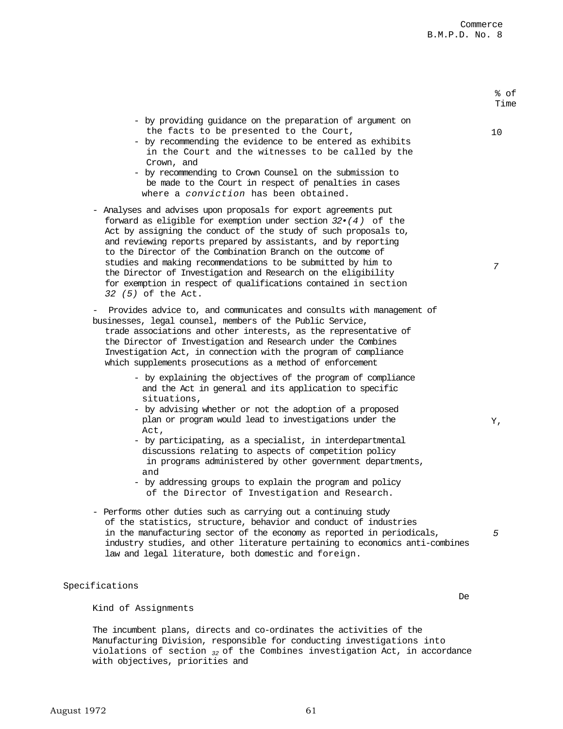August 1972 61

% of

|                                                                                                                                                                                                                                                                                                                                                                                                                                                                                                                                                                           | Time |
|---------------------------------------------------------------------------------------------------------------------------------------------------------------------------------------------------------------------------------------------------------------------------------------------------------------------------------------------------------------------------------------------------------------------------------------------------------------------------------------------------------------------------------------------------------------------------|------|
| - by providing guidance on the preparation of argument on<br>the facts to be presented to the Court,<br>- by recommending the evidence to be entered as exhibits<br>in the Court and the witnesses to be called by the<br>Crown, and<br>- by recommending to Crown Counsel on the submission to<br>be made to the Court in respect of penalties in cases<br>where a conviction has been obtained.                                                                                                                                                                         | 10   |
| - Analyses and advises upon proposals for export agreements put<br>forward as eligible for exemption under section $32 \cdot (4)$ of the<br>Act by assigning the conduct of the study of such proposals to,<br>and reviewing reports prepared by assistants, and by reporting<br>to the Director of the Combination Branch on the outcome of<br>studies and making recommendations to be submitted by him to<br>the Director of Investigation and Research on the eligibility<br>for exemption in respect of qualifications contained in section<br>32 (5) of the Act.    | 7    |
| Provides advice to, and communicates and consults with management of<br>-<br>businesses, legal counsel, members of the Public Service,<br>trade associations and other interests, as the representative of<br>the Director of Investigation and Research under the Combines<br>Investigation Act, in connection with the program of compliance<br>which supplements prosecutions as a method of enforcement                                                                                                                                                               |      |
| - by explaining the objectives of the program of compliance<br>and the Act in general and its application to specific<br>situations,<br>- by advising whether or not the adoption of a proposed<br>plan or program would lead to investigations under the<br>Act,<br>- by participating, as a specialist, in interdepartmental<br>discussions relating to aspects of competition policy<br>in programs administered by other government departments,<br>and<br>- by addressing groups to explain the program and policy<br>of the Director of Investigation and Research. | Υ,   |
| Performs other duties such as carrying out a continuing study<br>of the statistics, structure, behavior and conduct of industries<br>in the manufacturing sector of the economy as reported in periodicals,<br>industry studies, and other literature pertaining to economics anti-combines<br>law and legal literature, both domestic and foreign.                                                                                                                                                                                                                       | 5    |
| Specifications                                                                                                                                                                                                                                                                                                                                                                                                                                                                                                                                                            |      |
| Kind of Assignments                                                                                                                                                                                                                                                                                                                                                                                                                                                                                                                                                       | De   |

The incumbent plans, directs and co-ordinates the activities of the Manufacturing Division, responsible for conducting investigations into violations of section *32* of the Combines investigation Act, in accordance with objectives, priorities and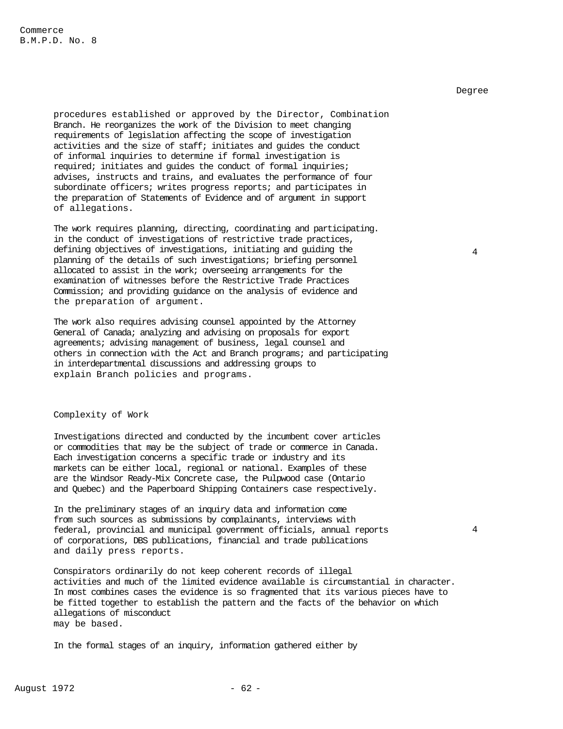procedures established or approved by the Director, Combination Branch. He reorganizes the work of the Division to meet changing requirements of legislation affecting the scope of investigation activities and the size of staff; initiates and guides the conduct of informal inquiries to determine if formal investigation is required; initiates and guides the conduct of formal inquiries; advises, instructs and trains, and evaluates the performance of four subordinate officers; writes progress reports; and participates in the preparation of Statements of Evidence and of argument in support of allegations.

The work requires planning, directing, coordinating and participating. in the conduct of investigations of restrictive trade practices, defining objectives of investigations, initiating and guiding the planning of the details of such investigations; briefing personnel allocated to assist in the work; overseeing arrangements for the examination of witnesses before the Restrictive Trade Practices Commission; and providing guidance on the analysis of evidence and the preparation of argument.

The work also requires advising counsel appointed by the Attorney General of Canada; analyzing and advising on proposals for export agreements; advising management of business, legal counsel and others in connection with the Act and Branch programs; and participating in interdepartmental discussions and addressing groups to explain Branch policies and programs.

### Complexity of Work

Investigations directed and conducted by the incumbent cover articles or commodities that may be the subject of trade or commerce in Canada. Each investigation concerns a specific trade or industry and its markets can be either local, regional or national. Examples of these are the Windsor Ready-Mix Concrete case, the Pulpwood case (Ontario and Quebec) and the Paperboard Shipping Containers case respectively.

In the preliminary stages of an inquiry data and information come from such sources as submissions by complainants, interviews with federal, provincial and municipal government officials, annual reports of corporations, DBS publications, financial and trade publications and daily press reports.

Conspirators ordinarily do not keep coherent records of illegal activities and much of the limited evidence available is circumstantial in character. In most combines cases the evidence is so fragmented that its various pieces have to be fitted together to establish the pattern and the facts of the behavior on which allegations of misconduct may be based.

In the formal stages of an inquiry, information gathered either by

Degree

4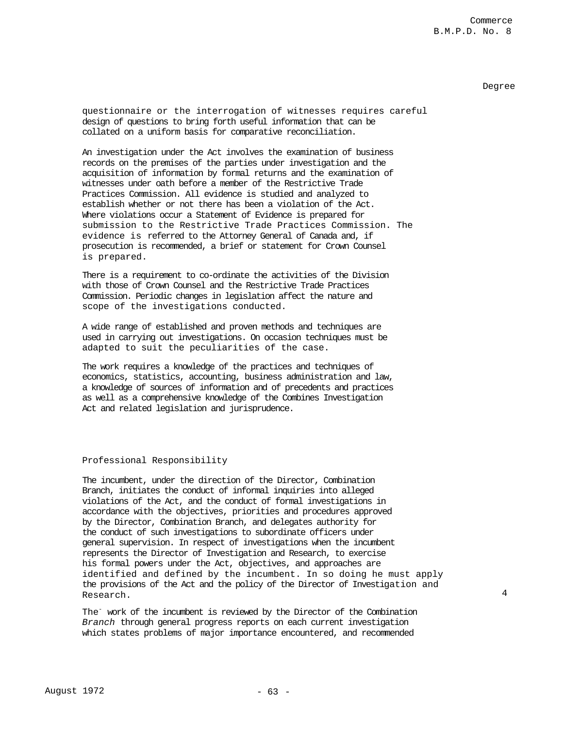# Commerce B.M.P.D. No. 8

### Degree

4

questionnaire or the interrogation of witnesses requires careful design of questions to bring forth useful information that can be collated on a uniform basis for comparative reconciliation.

An investigation under the Act involves the examination of business records on the premises of the parties under investigation and the acquisition of information by formal returns and the examination of witnesses under oath before a member of the Restrictive Trade Practices Commission. All evidence is studied and analyzed to establish whether or not there has been a violation of the Act. Where violations occur a Statement of Evidence is prepared for submission to the Restrictive Trade Practices Commission. The evidence is referred to the Attorney General of Canada and, if prosecution is recommended, a brief or statement for Crown Counsel is prepared.

There is a requirement to co-ordinate the activities of the Division with those of Crown Counsel and the Restrictive Trade Practices Commission. Periodic changes in legislation affect the nature and scope of the investigations conducted.

A wide range of established and proven methods and techniques are used in carrying out investigations. On occasion techniques must be adapted to suit the peculiarities of the case.

The work requires a knowledge of the practices and techniques of economics, statistics, accounting, business administration and law, a knowledge of sources of information and of precedents and practices as well as a comprehensive knowledge of the Combines Investigation Act and related legislation and jurisprudence.

### Professional Responsibility

The incumbent, under the direction of the Director, Combination Branch, initiates the conduct of informal inquiries into alleged violations of the Act, and the conduct of formal investigations in accordance with the objectives, priorities and procedures approved by the Director, Combination Branch, and delegates authority for the conduct of such investigations to subordinate officers under general supervision. In respect of investigations when the incumbent represents the Director of Investigation and Research, to exercise his formal powers under the Act, objectives, and approaches are identified and defined by the incumbent. In so doing he must apply the provisions of the Act and the policy of the Director of Investigation and Research.

The- work of the incumbent is reviewed by the Director of the Combination *Branch* through general progress reports on each current investigation which states problems of major importance encountered, and recommended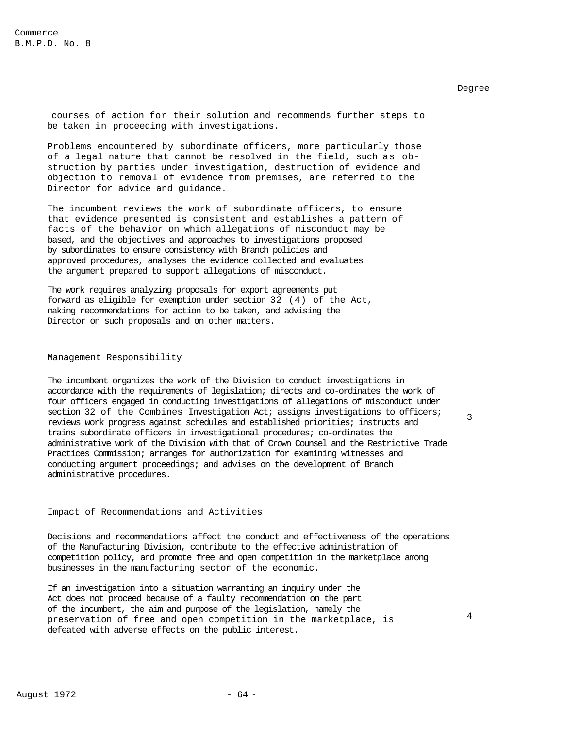courses of action for their solution and recommends further steps to be taken in proceeding with investigations.

Problems encountered by subordinate officers, more particularly those of a legal nature that cannot be resolved in the field, such as obstruction by parties under investigation, destruction of evidence and objection to removal of evidence from premises, are referred to the Director for advice and guidance.

The incumbent reviews the work of subordinate officers, to ensure that evidence presented is consistent and establishes a pattern of facts of the behavior on which allegations of misconduct may be based, and the objectives and approaches to investigations proposed by subordinates to ensure consistency with Branch policies and approved procedures, analyses the evidence collected and evaluates the argument prepared to support allegations of misconduct.

The work requires analyzing proposals for export agreements put forward as eligible for exemption under section 32 (4) of the Act, making recommendations for action to be taken, and advising the Director on such proposals and on other matters.

### Management Responsibility

The incumbent organizes the work of the Division to conduct investigations in accordance with the requirements of legislation; directs and co-ordinates the work of four officers engaged in conducting investigations of allegations of misconduct under section 32 of the Combines Investigation Act; assigns investigations to officers; reviews work progress against schedules and established priorities; instructs and trains subordinate officers in investigational procedures; co-ordinates the administrative work of the Division with that of Crown Counsel and the Restrictive Trade Practices Commission; arranges for authorization for examining witnesses and conducting argument proceedings; and advises on the development of Branch administrative procedures.

# Impact of Recommendations and Activities

Decisions and recommendations affect the conduct and effectiveness of the operations of the Manufacturing Division, contribute to the effective administration of competition policy, and promote free and open competition in the marketplace among businesses in the manufacturing sector of the economic.

If an investigation into a situation warranting an inquiry under the Act does not proceed because of a faulty recommendation on the part of the incumbent, the aim and purpose of the legislation, namely the preservation of free and open competition in the marketplace, is defeated with adverse effects on the public interest.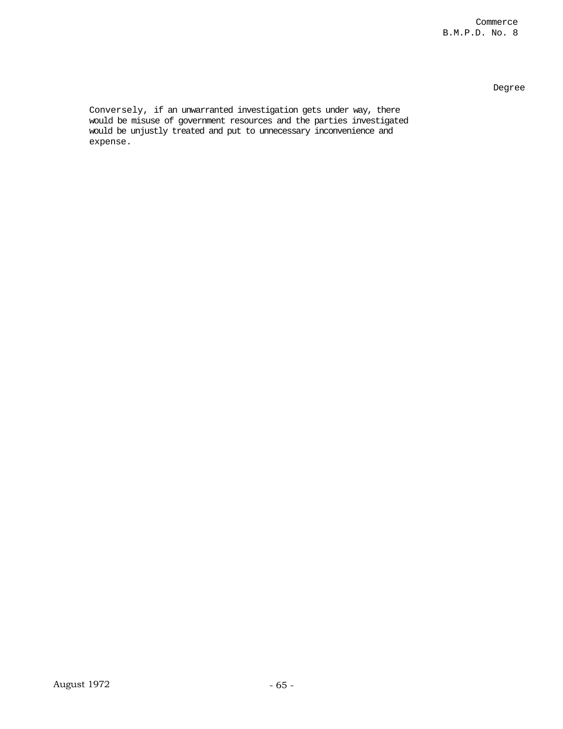Commerce B.M.P.D. No. 8

Degree

Conversely, if an unwarranted investigation gets under way, there would be misuse of government resources and the parties investigated would be unjustly treated and put to unnecessary inconvenience and expense.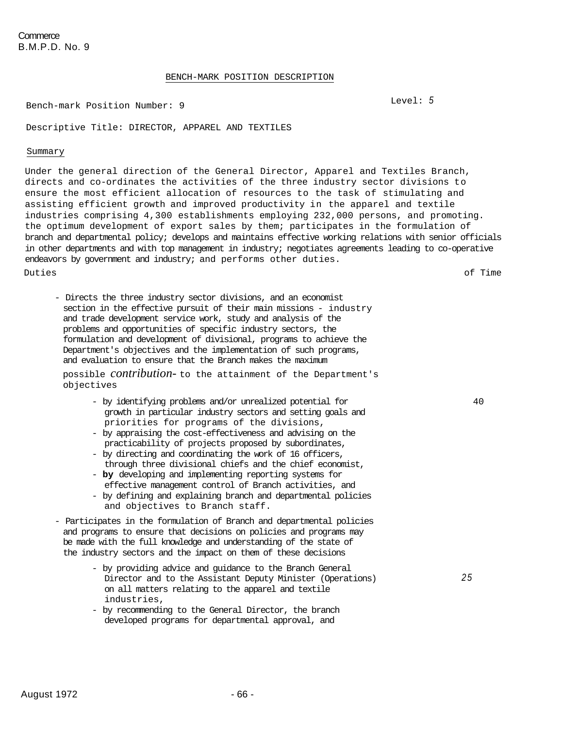### BENCH-MARK POSITION DESCRIPTION

Bench-mark Position Number: 9 **Level: 5** Level: 5

Descriptive Title: DIRECTOR, APPAREL AND TEXTILES

### Summary

Under the general direction of the General Director, Apparel and Textiles Branch, directs and co-ordinates the activities of the three industry sector divisions to ensure the most efficient allocation of resources to the task of stimulating and assisting efficient growth and improved productivity in the apparel and textile industries comprising 4,300 establishments employing 232,000 persons, and promoting. the optimum development of export sales by them; participates in the formulation of branch and departmental policy; develops and maintains effective working relations with senior officials in other departments and with top management in industry; negotiates agreements leading to co-operative endeavors by government and industry; and performs other duties. Duties of Time

40

*25* 

- Directs the three industry sector divisions, and an economist section in the effective pursuit of their main missions - industry and trade development service work, study and analysis of the problems and opportunities of specific industry sectors, the formulation and development of divisional, programs to achieve the Department's objectives and the implementation of such programs, and evaluation to ensure that the Branch makes the maximum

possible *contribution-* to the attainment of the Department's objectives

- by identifying problems and/or unrealized potential for growth in particular industry sectors and setting goals and priorities for programs of the divisions,
- by appraising the cost-effectiveness and advising on the practicability of projects proposed by subordinates,
- by directing and coordinating the work of 16 officers, through three divisional chiefs and the chief economist,
- **by** developing and implementing reporting systems for effective management control of Branch activities, and
- by defining and explaining branch and departmental policies and objectives to Branch staff.
- Participates in the formulation of Branch and departmental policies and programs to ensure that decisions on policies and programs may be made with the full knowledge and understanding of the state of the industry sectors and the impact on them of these decisions
	- by providing advice and guidance to the Branch General Director and to the Assistant Deputy Minister (Operations) on all matters relating to the apparel and textile industries,
	- by recommending to the General Director, the branch developed programs for departmental approval, and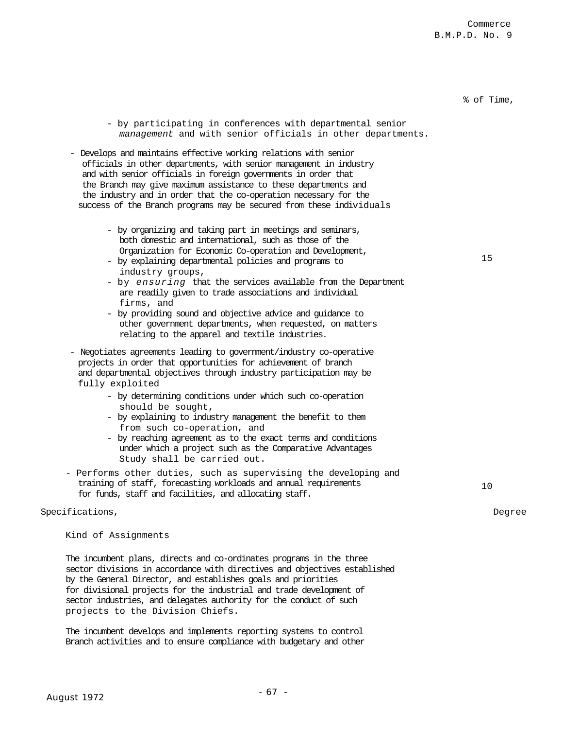# % of Time,

15

- by participating in conferences with departmental senior *management* and with senior officials in other departments.
- Develops and maintains effective working relations with senior officials in other departments, with senior management in industry and with senior officials in foreign governments in order that the Branch may give maximum assistance to these departments and the industry and in order that the co-operation necessary for the success of the Branch programs may be secured from these individuals
	- by organizing and taking part in meetings and seminars, both domestic and international, such as those of the Organization for Economic Co-operation and Development,
	- by explaining departmental policies and programs to industry groups,
	- by *ensuring* that the services available from the Department are readily given to trade associations and individual firms, and
	- by providing sound and objective advice and guidance to other government departments, when requested, on matters relating to the apparel and textile industries.
- Negotiates agreements leading to government/industry co-operative projects in order that opportunities for achievement of branch and departmental objectives through industry participation may be fully exploited
	- by determining conditions under which such co-operation should be sought,
	- by explaining to industry management the benefit to them from such co-operation, and
	- by reaching agreement as to the exact terms and conditions under which a project such as the Comparative Advantages Study shall be carried out.
- Performs other duties, such as supervising the developing and training of staff, forecasting workloads and annual requirements for funds, staff and facilities, and allocating staff.

### Specifications, Degree

Kind of Assignments

The incumbent plans, directs and co-ordinates programs in the three sector divisions in accordance with directives and objectives established by the General Director, and establishes goals and priorities for divisional projects for the industrial and trade development of sector industries, and delegates authority for the conduct of such projects to the Division Chiefs.

The incumbent develops and implements reporting systems to control Branch activities and to ensure compliance with budgetary and other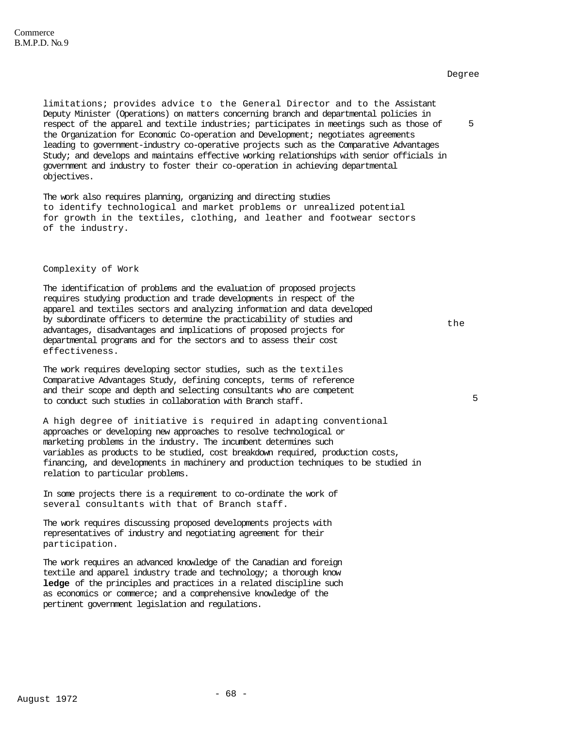limitations; provides advice to the General Director and to the Assistant Deputy Minister (Operations) on matters concerning branch and departmental policies in respect of the apparel and textile industries; participates in meetings such as those of the Organization for Economic Co-operation and Development; negotiates agreements leading to government-industry co-operative projects such as the Comparative Advantages Study; and develops and maintains effective working relationships with senior officials in government and industry to foster their co-operation in achieving departmental objectives.

The work also requires planning, organizing and directing studies to identify technological and market problems or unrealized potential for growth in the textiles, clothing, and leather and footwear sectors of the industry.

### Complexity of Work

The identification of problems and the evaluation of proposed projects requires studying production and trade developments in respect of the apparel and textiles sectors and analyzing information and data developed by subordinate officers to determine the practicability of studies and advantages, disadvantages and implications of proposed projects for departmental programs and for the sectors and to assess their cost effectiveness.

The work requires developing sector studies, such as the textiles Comparative Advantages Study, defining concepts, terms of reference and their scope and depth and selecting consultants who are competent to conduct such studies in collaboration with Branch staff.

A high degree of initiative is required in adapting conventional approaches or developing new approaches to resolve technological or marketing problems in the industry. The incumbent determines such variables as products to be studied, cost breakdown required, production costs, financing, and developments in machinery and production techniques to be studied in relation to particular problems.

In some projects there is a requirement to co-ordinate the work of several consultants with that of Branch staff.

The work requires discussing proposed developments projects with representatives of industry and negotiating agreement for their participation.

The work requires an advanced knowledge of the Canadian and foreign textile and apparel industry trade and technology; a thorough know **ledge** of the principles and practices in a related discipline such as economics or commerce; and a comprehensive knowledge of the pertinent government legislation and regulations.

Degree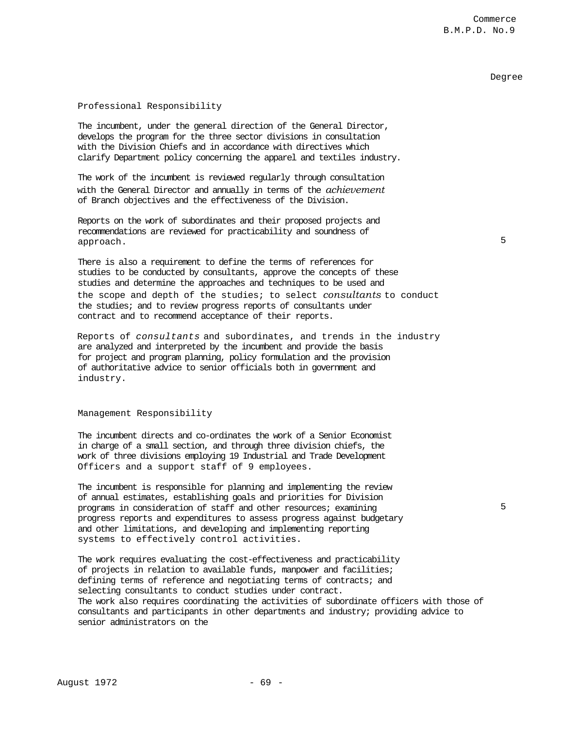Commerce B.M.P.D. No.9

## Degree

5

5

## Professional Responsibility

The incumbent, under the general direction of the General Director, develops the program for the three sector divisions in consultation with the Division Chiefs and in accordance with directives which clarify Department policy concerning the apparel and textiles industry.

The work of the incumbent is reviewed regularly through consultation with the General Director and annually in terms of the *achievement*  of Branch objectives and the effectiveness of the Division.

Reports on the work of subordinates and their proposed projects and recommendations are reviewed for practicability and soundness of approach.

There is also a requirement to define the terms of references for studies to be conducted by consultants, approve the concepts of these studies and determine the approaches and techniques to be used and the scope and depth of the studies; to select *consultants* to conduct the studies; and to review progress reports of consultants under contract and to recommend acceptance of their reports.

Reports of *consultants* and subordinates, and trends in the industry are analyzed and interpreted by the incumbent and provide the basis for project and program planning, policy formulation and the provision of authoritative advice to senior officials both in government and industry.

## Management Responsibility

The incumbent directs and co-ordinates the work of a Senior Economist in charge of a small section, and through three division chiefs, the work of three divisions employing 19 Industrial and Trade Development Officers and a support staff of 9 employees.

The incumbent is responsible for planning and implementing the review of annual estimates, establishing goals and priorities for Division programs in consideration of staff and other resources; examining progress reports and expenditures to assess progress against budgetary and other limitations, and developing and implementing reporting systems to effectively control activities.

The work requires evaluating the cost-effectiveness and practicability of projects in relation to available funds, manpower and facilities; defining terms of reference and negotiating terms of contracts; and selecting consultants to conduct studies under contract. The work also requires coordinating the activities of subordinate officers with those of consultants and participants in other departments and industry; providing advice to senior administrators on the